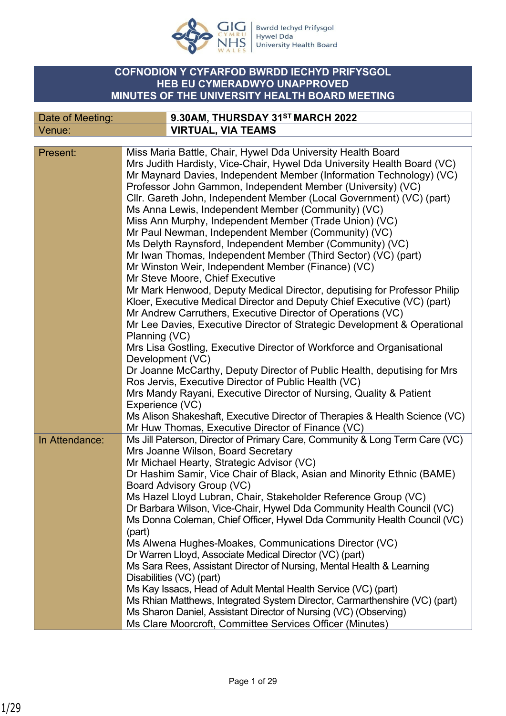

Date of Meeting: **9.30AM, THURSDAY 31ST MARCH 2022**

Bwrdd Iechyd Prifysgol **Extract Lettryd 1 mysgo:**<br>Hywel Dda<br>University Health Board

## **COFNODION Y CYFARFOD BWRDD IECHYD PRIFYSGOL HEB EU CYMERADWYO UNAPPROVED MINUTES OF THE UNIVERSITY HEALTH BOARD MEETING**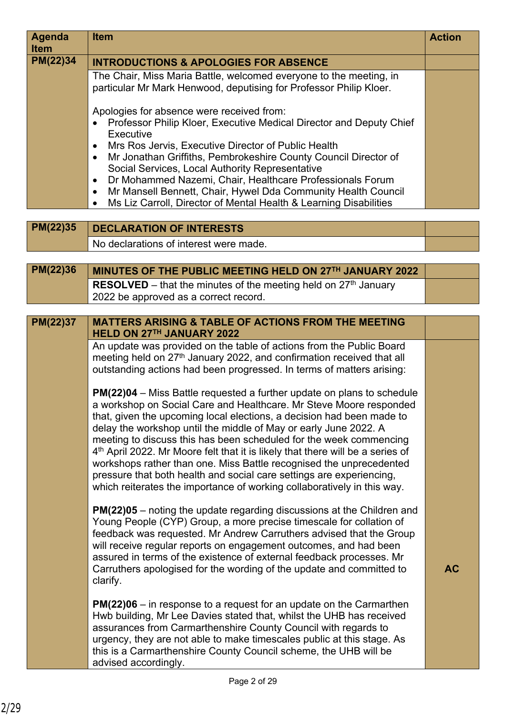| <b>Agenda</b><br><b>Item</b> | <b>Item</b>                                                                                                                                                                                                                                                                                                                                                                                                                                                                                                                                                                                                                                                                                    | <b>Action</b> |
|------------------------------|------------------------------------------------------------------------------------------------------------------------------------------------------------------------------------------------------------------------------------------------------------------------------------------------------------------------------------------------------------------------------------------------------------------------------------------------------------------------------------------------------------------------------------------------------------------------------------------------------------------------------------------------------------------------------------------------|---------------|
| PM(22)34                     | <b>INTRODUCTIONS &amp; APOLOGIES FOR ABSENCE</b>                                                                                                                                                                                                                                                                                                                                                                                                                                                                                                                                                                                                                                               |               |
|                              | The Chair, Miss Maria Battle, welcomed everyone to the meeting, in<br>particular Mr Mark Henwood, deputising for Professor Philip Kloer.                                                                                                                                                                                                                                                                                                                                                                                                                                                                                                                                                       |               |
|                              | Apologies for absence were received from:<br>Professor Philip Kloer, Executive Medical Director and Deputy Chief<br>Executive                                                                                                                                                                                                                                                                                                                                                                                                                                                                                                                                                                  |               |
|                              | Mrs Ros Jervis, Executive Director of Public Health<br>$\bullet$<br>Mr Jonathan Griffiths, Pembrokeshire County Council Director of<br>$\bullet$<br>Social Services, Local Authority Representative<br>Dr Mohammed Nazemi, Chair, Healthcare Professionals Forum<br>$\bullet$                                                                                                                                                                                                                                                                                                                                                                                                                  |               |
|                              | Mr Mansell Bennett, Chair, Hywel Dda Community Health Council<br>$\bullet$<br>Ms Liz Carroll, Director of Mental Health & Learning Disabilities<br>$\bullet$                                                                                                                                                                                                                                                                                                                                                                                                                                                                                                                                   |               |
|                              |                                                                                                                                                                                                                                                                                                                                                                                                                                                                                                                                                                                                                                                                                                |               |
| PM(22)35                     | <b>DECLARATION OF INTERESTS</b>                                                                                                                                                                                                                                                                                                                                                                                                                                                                                                                                                                                                                                                                |               |
|                              | No declarations of interest were made.                                                                                                                                                                                                                                                                                                                                                                                                                                                                                                                                                                                                                                                         |               |
| PM(22)36                     | MINUTES OF THE PUBLIC MEETING HELD ON 27TH JANUARY 2022                                                                                                                                                                                                                                                                                                                                                                                                                                                                                                                                                                                                                                        |               |
|                              | <b>RESOLVED</b> – that the minutes of the meeting held on $27th$ January                                                                                                                                                                                                                                                                                                                                                                                                                                                                                                                                                                                                                       |               |
|                              | 2022 be approved as a correct record.                                                                                                                                                                                                                                                                                                                                                                                                                                                                                                                                                                                                                                                          |               |
|                              |                                                                                                                                                                                                                                                                                                                                                                                                                                                                                                                                                                                                                                                                                                |               |
| PM(22)37                     | <b>MATTERS ARISING &amp; TABLE OF ACTIONS FROM THE MEETING</b>                                                                                                                                                                                                                                                                                                                                                                                                                                                                                                                                                                                                                                 |               |
|                              | HELD ON 27TH JANUARY 2022<br>An update was provided on the table of actions from the Public Board                                                                                                                                                                                                                                                                                                                                                                                                                                                                                                                                                                                              |               |
|                              | meeting held on 27 <sup>th</sup> January 2022, and confirmation received that all<br>outstanding actions had been progressed. In terms of matters arising:                                                                                                                                                                                                                                                                                                                                                                                                                                                                                                                                     |               |
|                              | <b>PM(22)04</b> – Miss Battle requested a further update on plans to schedule<br>a workshop on Social Care and Healthcare. Mr Steve Moore responded<br>that, given the upcoming local elections, a decision had been made to<br>delay the workshop until the middle of May or early June 2022. A<br>meeting to discuss this has been scheduled for the week commencing<br>4 <sup>th</sup> April 2022. Mr Moore felt that it is likely that there will be a series of<br>workshops rather than one. Miss Battle recognised the unprecedented<br>pressure that both health and social care settings are experiencing,<br>which reiterates the importance of working collaboratively in this way. |               |
|                              | <b>PM(22)05</b> – noting the update regarding discussions at the Children and<br>Young People (CYP) Group, a more precise timescale for collation of<br>feedback was requested. Mr Andrew Carruthers advised that the Group<br>will receive regular reports on engagement outcomes, and had been<br>assured in terms of the existence of external feedback processes. Mr<br>Carruthers apologised for the wording of the update and committed to<br>clarify.                                                                                                                                                                                                                                   | <b>AC</b>     |
|                              | $PM(22)06 - in$ response to a request for an update on the Carmarthen<br>Hwb building, Mr Lee Davies stated that, whilst the UHB has received<br>assurances from Carmarthenshire County Council with regards to<br>urgency, they are not able to make timescales public at this stage. As<br>this is a Carmarthenshire County Council scheme, the UHB will be<br>advised accordingly.                                                                                                                                                                                                                                                                                                          |               |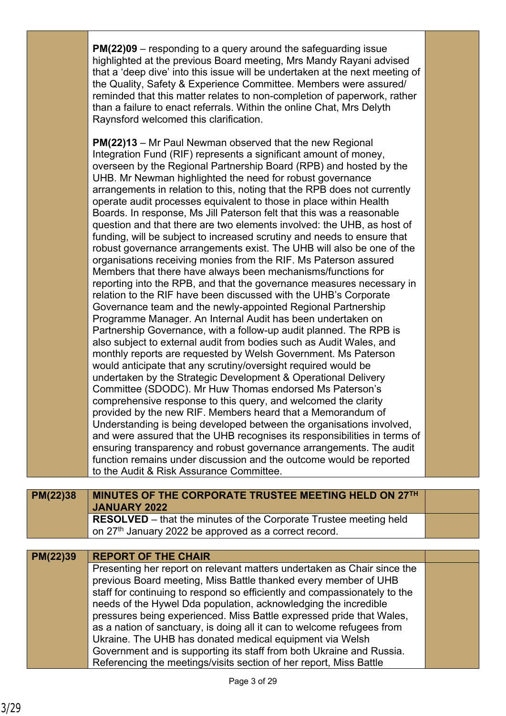|                 | <b>PM(22)09</b> – responding to a query around the safeguarding issue<br>highlighted at the previous Board meeting, Mrs Mandy Rayani advised<br>that a 'deep dive' into this issue will be undertaken at the next meeting of<br>the Quality, Safety & Experience Committee. Members were assured/<br>reminded that this matter relates to non-completion of paperwork, rather<br>than a failure to enact referrals. Within the online Chat, Mrs Delyth<br>Raynsford welcomed this clarification.                                                                                                                                                                                                                                                                                                                                                                                                                                                                                                                                                                                                                                                                                                                                                                                                                                                                                                                                                                                                                                                                                                                                                                                                                                                                                                                                                                                                                                                                                                                                              |  |
|-----------------|-----------------------------------------------------------------------------------------------------------------------------------------------------------------------------------------------------------------------------------------------------------------------------------------------------------------------------------------------------------------------------------------------------------------------------------------------------------------------------------------------------------------------------------------------------------------------------------------------------------------------------------------------------------------------------------------------------------------------------------------------------------------------------------------------------------------------------------------------------------------------------------------------------------------------------------------------------------------------------------------------------------------------------------------------------------------------------------------------------------------------------------------------------------------------------------------------------------------------------------------------------------------------------------------------------------------------------------------------------------------------------------------------------------------------------------------------------------------------------------------------------------------------------------------------------------------------------------------------------------------------------------------------------------------------------------------------------------------------------------------------------------------------------------------------------------------------------------------------------------------------------------------------------------------------------------------------------------------------------------------------------------------------------------------------|--|
|                 | <b>PM(22)13</b> – Mr Paul Newman observed that the new Regional<br>Integration Fund (RIF) represents a significant amount of money,<br>overseen by the Regional Partnership Board (RPB) and hosted by the<br>UHB. Mr Newman highlighted the need for robust governance<br>arrangements in relation to this, noting that the RPB does not currently<br>operate audit processes equivalent to those in place within Health<br>Boards. In response, Ms Jill Paterson felt that this was a reasonable<br>question and that there are two elements involved: the UHB, as host of<br>funding, will be subject to increased scrutiny and needs to ensure that<br>robust governance arrangements exist. The UHB will also be one of the<br>organisations receiving monies from the RIF. Ms Paterson assured<br>Members that there have always been mechanisms/functions for<br>reporting into the RPB, and that the governance measures necessary in<br>relation to the RIF have been discussed with the UHB's Corporate<br>Governance team and the newly-appointed Regional Partnership<br>Programme Manager. An Internal Audit has been undertaken on<br>Partnership Governance, with a follow-up audit planned. The RPB is<br>also subject to external audit from bodies such as Audit Wales, and<br>monthly reports are requested by Welsh Government. Ms Paterson<br>would anticipate that any scrutiny/oversight required would be<br>undertaken by the Strategic Development & Operational Delivery<br>Committee (SDODC). Mr Huw Thomas endorsed Ms Paterson's<br>comprehensive response to this query, and welcomed the clarity<br>provided by the new RIF. Members heard that a Memorandum of<br>Understanding is being developed between the organisations involved,<br>and were assured that the UHB recognises its responsibilities in terms of<br>ensuring transparency and robust governance arrangements. The audit<br>function remains under discussion and the outcome would be reported<br>to the Audit & Risk Assurance Committee. |  |
| <b>PM(22)38</b> | MINUTES OF THE CORPORATE TRUSTEE MEETING HELD ON 27TH                                                                                                                                                                                                                                                                                                                                                                                                                                                                                                                                                                                                                                                                                                                                                                                                                                                                                                                                                                                                                                                                                                                                                                                                                                                                                                                                                                                                                                                                                                                                                                                                                                                                                                                                                                                                                                                                                                                                                                                         |  |
|                 | <b>JANUARY 2022</b><br><b>RESOLVED</b> – that the minutes of the Corporate Trustee meeting held<br>on 27 <sup>th</sup> January 2022 be approved as a correct record.                                                                                                                                                                                                                                                                                                                                                                                                                                                                                                                                                                                                                                                                                                                                                                                                                                                                                                                                                                                                                                                                                                                                                                                                                                                                                                                                                                                                                                                                                                                                                                                                                                                                                                                                                                                                                                                                          |  |
|                 |                                                                                                                                                                                                                                                                                                                                                                                                                                                                                                                                                                                                                                                                                                                                                                                                                                                                                                                                                                                                                                                                                                                                                                                                                                                                                                                                                                                                                                                                                                                                                                                                                                                                                                                                                                                                                                                                                                                                                                                                                                               |  |
| PM(22)39        | <b>REPORT OF THE CHAIR</b><br>Presenting her report on relevant matters undertaken as Chair since the<br>previous Board meeting, Miss Battle thanked every member of UHB<br>staff for continuing to respond so efficiently and compassionately to the<br>needs of the Hywel Dda population, acknowledging the incredible<br>pressures being experienced. Miss Battle expressed pride that Wales,<br>as a nation of sanctuary, is doing all it can to welcome refugees from<br>Ukraine. The UHB has donated medical equipment via Welsh<br>Government and is supporting its staff from both Ukraine and Russia.<br>Referencing the meetings/visits section of her report, Miss Battle                                                                                                                                                                                                                                                                                                                                                                                                                                                                                                                                                                                                                                                                                                                                                                                                                                                                                                                                                                                                                                                                                                                                                                                                                                                                                                                                                          |  |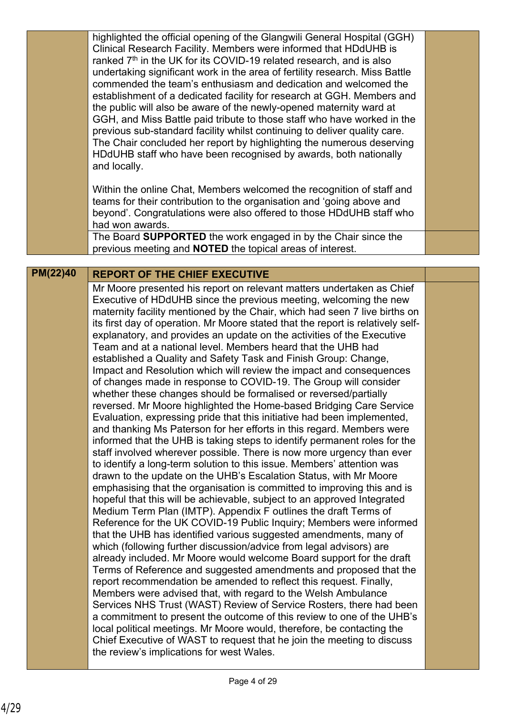|          | highlighted the official opening of the Glangwili General Hospital (GGH)<br>Clinical Research Facility. Members were informed that HDdUHB is<br>ranked 7 <sup>th</sup> in the UK for its COVID-19 related research, and is also<br>undertaking significant work in the area of fertility research. Miss Battle<br>commended the team's enthusiasm and dedication and welcomed the<br>establishment of a dedicated facility for research at GGH. Members and<br>the public will also be aware of the newly-opened maternity ward at<br>GGH, and Miss Battle paid tribute to those staff who have worked in the<br>previous sub-standard facility whilst continuing to deliver quality care.<br>The Chair concluded her report by highlighting the numerous deserving<br>HDdUHB staff who have been recognised by awards, both nationally<br>and locally.<br>Within the online Chat, Members welcomed the recognition of staff and                                                                                                                                                                                                                                                                                                                                                                                                                                                                                                                                                                                                                                                                                                                                                                                                                                                                                                                                                                                                                                                                                                                                                                                                                                                                                                                                                                                                                          |  |
|----------|-----------------------------------------------------------------------------------------------------------------------------------------------------------------------------------------------------------------------------------------------------------------------------------------------------------------------------------------------------------------------------------------------------------------------------------------------------------------------------------------------------------------------------------------------------------------------------------------------------------------------------------------------------------------------------------------------------------------------------------------------------------------------------------------------------------------------------------------------------------------------------------------------------------------------------------------------------------------------------------------------------------------------------------------------------------------------------------------------------------------------------------------------------------------------------------------------------------------------------------------------------------------------------------------------------------------------------------------------------------------------------------------------------------------------------------------------------------------------------------------------------------------------------------------------------------------------------------------------------------------------------------------------------------------------------------------------------------------------------------------------------------------------------------------------------------------------------------------------------------------------------------------------------------------------------------------------------------------------------------------------------------------------------------------------------------------------------------------------------------------------------------------------------------------------------------------------------------------------------------------------------------------------------------------------------------------------------------------------------------|--|
|          | teams for their contribution to the organisation and 'going above and<br>beyond'. Congratulations were also offered to those HDdUHB staff who<br>had won awards.                                                                                                                                                                                                                                                                                                                                                                                                                                                                                                                                                                                                                                                                                                                                                                                                                                                                                                                                                                                                                                                                                                                                                                                                                                                                                                                                                                                                                                                                                                                                                                                                                                                                                                                                                                                                                                                                                                                                                                                                                                                                                                                                                                                          |  |
|          | The Board SUPPORTED the work engaged in by the Chair since the<br>previous meeting and <b>NOTED</b> the topical areas of interest.                                                                                                                                                                                                                                                                                                                                                                                                                                                                                                                                                                                                                                                                                                                                                                                                                                                                                                                                                                                                                                                                                                                                                                                                                                                                                                                                                                                                                                                                                                                                                                                                                                                                                                                                                                                                                                                                                                                                                                                                                                                                                                                                                                                                                        |  |
| PM(22)40 | <b>REPORT OF THE CHIEF EXECUTIVE</b>                                                                                                                                                                                                                                                                                                                                                                                                                                                                                                                                                                                                                                                                                                                                                                                                                                                                                                                                                                                                                                                                                                                                                                                                                                                                                                                                                                                                                                                                                                                                                                                                                                                                                                                                                                                                                                                                                                                                                                                                                                                                                                                                                                                                                                                                                                                      |  |
|          | Mr Moore presented his report on relevant matters undertaken as Chief<br>Executive of HDdUHB since the previous meeting, welcoming the new<br>maternity facility mentioned by the Chair, which had seen 7 live births on<br>its first day of operation. Mr Moore stated that the report is relatively self-<br>explanatory, and provides an update on the activities of the Executive<br>Team and at a national level. Members heard that the UHB had<br>established a Quality and Safety Task and Finish Group: Change,<br>Impact and Resolution which will review the impact and consequences<br>of changes made in response to COVID-19. The Group will consider<br>whether these changes should be formalised or reversed/partially<br>reversed. Mr Moore highlighted the Home-based Bridging Care Service<br>Evaluation, expressing pride that this initiative had been implemented,<br>and thanking Ms Paterson for her efforts in this regard. Members were<br>informed that the UHB is taking steps to identify permanent roles for the<br>staff involved wherever possible. There is now more urgency than ever<br>to identify a long-term solution to this issue. Members' attention was<br>drawn to the update on the UHB's Escalation Status, with Mr Moore<br>emphasising that the organisation is committed to improving this and is<br>hopeful that this will be achievable, subject to an approved Integrated<br>Medium Term Plan (IMTP). Appendix F outlines the draft Terms of<br>Reference for the UK COVID-19 Public Inquiry; Members were informed<br>that the UHB has identified various suggested amendments, many of<br>which (following further discussion/advice from legal advisors) are<br>already included. Mr Moore would welcome Board support for the draft<br>Terms of Reference and suggested amendments and proposed that the<br>report recommendation be amended to reflect this request. Finally,<br>Members were advised that, with regard to the Welsh Ambulance<br>Services NHS Trust (WAST) Review of Service Rosters, there had been<br>a commitment to present the outcome of this review to one of the UHB's<br>local political meetings. Mr Moore would, therefore, be contacting the<br>Chief Executive of WAST to request that he join the meeting to discuss<br>the review's implications for west Wales. |  |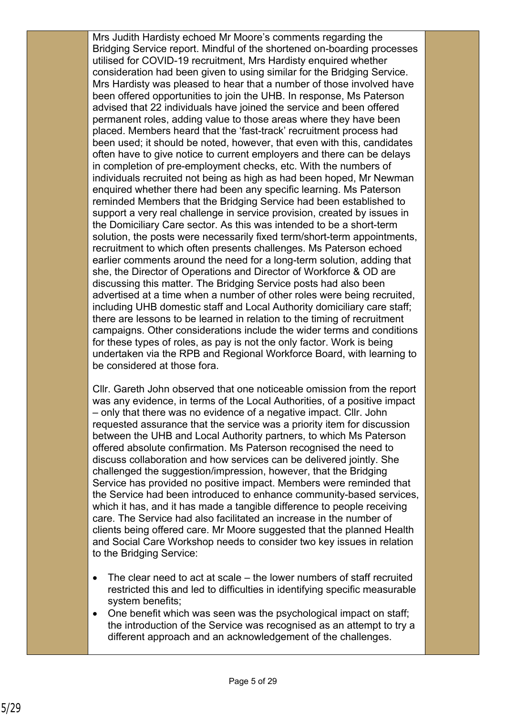Mrs Judith Hardisty echoed Mr Moore's comments regarding the Bridging Service report. Mindful of the shortened on-boarding processes utilised for COVID-19 recruitment, Mrs Hardisty enquired whether consideration had been given to using similar for the Bridging Service. Mrs Hardisty was pleased to hear that a number of those involved have been offered opportunities to join the UHB. In response, Ms Paterson advised that 22 individuals have joined the service and been offered permanent roles, adding value to those areas where they have been placed. Members heard that the 'fast-track' recruitment process had been used; it should be noted, however, that even with this, candidates often have to give notice to current employers and there can be delays in completion of pre-employment checks, etc. With the numbers of individuals recruited not being as high as had been hoped, Mr Newman enquired whether there had been any specific learning. Ms Paterson reminded Members that the Bridging Service had been established to support a very real challenge in service provision, created by issues in the Domiciliary Care sector. As this was intended to be a short-term solution, the posts were necessarily fixed term/short-term appointments, recruitment to which often presents challenges. Ms Paterson echoed earlier comments around the need for a long-term solution, adding that she, the Director of Operations and Director of Workforce & OD are discussing this matter. The Bridging Service posts had also been advertised at a time when a number of other roles were being recruited, including UHB domestic staff and Local Authority domiciliary care staff; there are lessons to be learned in relation to the timing of recruitment campaigns. Other considerations include the wider terms and conditions for these types of roles, as pay is not the only factor. Work is being undertaken via the RPB and Regional Workforce Board, with learning to be considered at those fora.

Cllr. Gareth John observed that one noticeable omission from the report was any evidence, in terms of the Local Authorities, of a positive impact – only that there was no evidence of a negative impact. Cllr. John requested assurance that the service was a priority item for discussion between the UHB and Local Authority partners, to which Ms Paterson offered absolute confirmation. Ms Paterson recognised the need to discuss collaboration and how services can be delivered jointly. She challenged the suggestion/impression, however, that the Bridging Service has provided no positive impact. Members were reminded that the Service had been introduced to enhance community-based services, which it has, and it has made a tangible difference to people receiving care. The Service had also facilitated an increase in the number of clients being offered care. Mr Moore suggested that the planned Health and Social Care Workshop needs to consider two key issues in relation to the Bridging Service:

- The clear need to act at scale the lower numbers of staff recruited restricted this and led to difficulties in identifying specific measurable system benefits;
- One benefit which was seen was the psychological impact on staff; the introduction of the Service was recognised as an attempt to try a different approach and an acknowledgement of the challenges.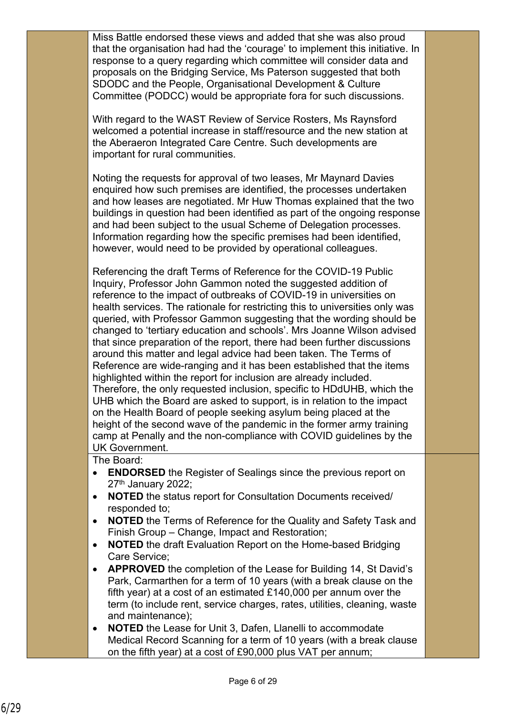Miss Battle endorsed these views and added that she was also proud that the organisation had had the 'courage' to implement this initiative. In response to a query regarding which committee will consider data and proposals on the Bridging Service, Ms Paterson suggested that both SDODC and the People, Organisational Development & Culture Committee (PODCC) would be appropriate fora for such discussions.

With regard to the WAST Review of Service Rosters, Ms Raynsford welcomed a potential increase in staff/resource and the new station at the Aberaeron Integrated Care Centre. Such developments are important for rural communities.

Noting the requests for approval of two leases, Mr Maynard Davies enquired how such premises are identified, the processes undertaken and how leases are negotiated. Mr Huw Thomas explained that the two buildings in question had been identified as part of the ongoing response and had been subject to the usual Scheme of Delegation processes. Information regarding how the specific premises had been identified, however, would need to be provided by operational colleagues.

Referencing the draft Terms of Reference for the COVID-19 Public Inquiry, Professor John Gammon noted the suggested addition of reference to the impact of outbreaks of COVID-19 in universities on health services. The rationale for restricting this to universities only was queried, with Professor Gammon suggesting that the wording should be changed to 'tertiary education and schools'. Mrs Joanne Wilson advised that since preparation of the report, there had been further discussions around this matter and legal advice had been taken. The Terms of Reference are wide-ranging and it has been established that the items highlighted within the report for inclusion are already included. Therefore, the only requested inclusion, specific to HDdUHB, which the UHB which the Board are asked to support, is in relation to the impact on the Health Board of people seeking asylum being placed at the height of the second wave of the pandemic in the former army training camp at Penally and the non-compliance with COVID guidelines by the UK Government.

The Board:

- **ENDORSED** the Register of Sealings since the previous report on 27<sup>th</sup> January 2022;
- **NOTED** the status report for Consultation Documents received/ responded to;
- **NOTED** the Terms of Reference for the Quality and Safety Task and Finish Group – Change, Impact and Restoration;
- **NOTED** the draft Evaluation Report on the Home-based Bridging Care Service;
- **APPROVED** the completion of the Lease for Building 14, St David's Park, Carmarthen for a term of 10 years (with a break clause on the fifth year) at a cost of an estimated £140,000 per annum over the term (to include rent, service charges, rates, utilities, cleaning, waste and maintenance);
- **NOTED** the Lease for Unit 3, Dafen, Llanelli to accommodate Medical Record Scanning for a term of 10 years (with a break clause on the fifth year) at a cost of £90,000 plus VAT per annum;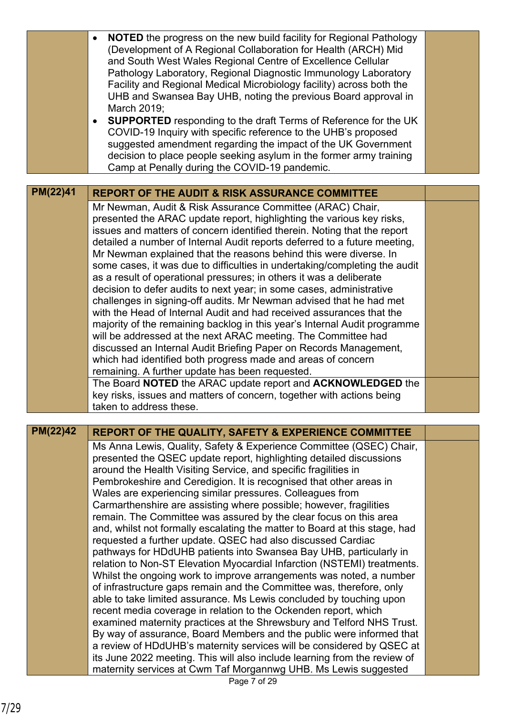| <b>NOTED</b> the progress on the new build facility for Regional Pathology<br>(Development of A Regional Collaboration for Health (ARCH) Mid<br>and South West Wales Regional Centre of Excellence Cellular<br>Pathology Laboratory, Regional Diagnostic Immunology Laboratory<br>Facility and Regional Medical Microbiology facility) across both the<br>UHB and Swansea Bay UHB, noting the previous Board approval in<br>March 2019;<br><b>SUPPORTED</b> responding to the draft Terms of Reference for the UK<br>COVID-19 Inquiry with specific reference to the UHB's proposed<br>suggested amendment regarding the impact of the UK Government<br>decision to place people seeking asylum in the former army training<br>Camp at Penally during the COVID-19 pandemic.<br>PM(22)41<br><b>REPORT OF THE AUDIT &amp; RISK ASSURANCE COMMITTEE</b><br>Mr Newman, Audit & Risk Assurance Committee (ARAC) Chair,<br>presented the ARAC update report, highlighting the various key risks,<br>issues and matters of concern identified therein. Noting that the report<br>detailed a number of Internal Audit reports deferred to a future meeting,<br>Mr Newman explained that the reasons behind this were diverse. In<br>some cases, it was due to difficulties in undertaking/completing the audit<br>as a result of operational pressures; in others it was a deliberate<br>decision to defer audits to next year; in some cases, administrative<br>challenges in signing-off audits. Mr Newman advised that he had met<br>with the Head of Internal Audit and had received assurances that the<br>majority of the remaining backlog in this year's Internal Audit programme<br>will be addressed at the next ARAC meeting. The Committee had<br>discussed an Internal Audit Briefing Paper on Records Management,<br>which had identified both progress made and areas of concern<br>remaining. A further update has been requested.<br>The Board NOTED the ARAC update report and ACKNOWLEDGED the<br>key risks, issues and matters of concern, together with actions being<br>taken to address these.<br>PM(22)42<br><b>REPORT OF THE QUALITY, SAFETY &amp; EXPERIENCE COMMITTEE</b><br>Ms Anna Lewis, Quality, Safety & Experience Committee (QSEC) Chair,<br>presented the QSEC update report, highlighting detailed discussions<br>around the Health Visiting Service, and specific fragilities in<br>Pembrokeshire and Ceredigion. It is recognised that other areas in<br>Wales are experiencing similar pressures. Colleagues from<br>Carmarthenshire are assisting where possible; however, fragilities<br>remain. The Committee was assured by the clear focus on this area<br>and, whilst not formally escalating the matter to Board at this stage, had<br>requested a further update. QSEC had also discussed Cardiac<br>pathways for HDdUHB patients into Swansea Bay UHB, particularly in<br>relation to Non-ST Elevation Myocardial Infarction (NSTEMI) treatments.<br>Whilst the ongoing work to improve arrangements was noted, a number<br>of infrastructure gaps remain and the Committee was, therefore, only<br>able to take limited assurance. Ms Lewis concluded by touching upon<br>recent media coverage in relation to the Ockenden report, which<br>examined maternity practices at the Shrewsbury and Telford NHS Trust.<br>By way of assurance, Board Members and the public were informed that<br>a review of HDdUHB's maternity services will be considered by QSEC at<br>its June 2022 meeting. This will also include learning from the review of |                                                                 |  |
|--------------------------------------------------------------------------------------------------------------------------------------------------------------------------------------------------------------------------------------------------------------------------------------------------------------------------------------------------------------------------------------------------------------------------------------------------------------------------------------------------------------------------------------------------------------------------------------------------------------------------------------------------------------------------------------------------------------------------------------------------------------------------------------------------------------------------------------------------------------------------------------------------------------------------------------------------------------------------------------------------------------------------------------------------------------------------------------------------------------------------------------------------------------------------------------------------------------------------------------------------------------------------------------------------------------------------------------------------------------------------------------------------------------------------------------------------------------------------------------------------------------------------------------------------------------------------------------------------------------------------------------------------------------------------------------------------------------------------------------------------------------------------------------------------------------------------------------------------------------------------------------------------------------------------------------------------------------------------------------------------------------------------------------------------------------------------------------------------------------------------------------------------------------------------------------------------------------------------------------------------------------------------------------------------------------------------------------------------------------------------------------------------------------------------------------------------------------------------------------------------------------------------------------------------------------------------------------------------------------------------------------------------------------------------------------------------------------------------------------------------------------------------------------------------------------------------------------------------------------------------------------------------------------------------------------------------------------------------------------------------------------------------------------------------------------------------------------------------------------------------------------------------------------------------------------------------------------------------------------------------------------------------------------------------------------------------------------------------------------------------------------------------------------------------------------------------------------------------------------------------------------------------------------------------------------------------------------------|-----------------------------------------------------------------|--|
|                                                                                                                                                                                                                                                                                                                                                                                                                                                                                                                                                                                                                                                                                                                                                                                                                                                                                                                                                                                                                                                                                                                                                                                                                                                                                                                                                                                                                                                                                                                                                                                                                                                                                                                                                                                                                                                                                                                                                                                                                                                                                                                                                                                                                                                                                                                                                                                                                                                                                                                                                                                                                                                                                                                                                                                                                                                                                                                                                                                                                                                                                                                                                                                                                                                                                                                                                                                                                                                                                                                                                                                            |                                                                 |  |
|                                                                                                                                                                                                                                                                                                                                                                                                                                                                                                                                                                                                                                                                                                                                                                                                                                                                                                                                                                                                                                                                                                                                                                                                                                                                                                                                                                                                                                                                                                                                                                                                                                                                                                                                                                                                                                                                                                                                                                                                                                                                                                                                                                                                                                                                                                                                                                                                                                                                                                                                                                                                                                                                                                                                                                                                                                                                                                                                                                                                                                                                                                                                                                                                                                                                                                                                                                                                                                                                                                                                                                                            |                                                                 |  |
|                                                                                                                                                                                                                                                                                                                                                                                                                                                                                                                                                                                                                                                                                                                                                                                                                                                                                                                                                                                                                                                                                                                                                                                                                                                                                                                                                                                                                                                                                                                                                                                                                                                                                                                                                                                                                                                                                                                                                                                                                                                                                                                                                                                                                                                                                                                                                                                                                                                                                                                                                                                                                                                                                                                                                                                                                                                                                                                                                                                                                                                                                                                                                                                                                                                                                                                                                                                                                                                                                                                                                                                            |                                                                 |  |
|                                                                                                                                                                                                                                                                                                                                                                                                                                                                                                                                                                                                                                                                                                                                                                                                                                                                                                                                                                                                                                                                                                                                                                                                                                                                                                                                                                                                                                                                                                                                                                                                                                                                                                                                                                                                                                                                                                                                                                                                                                                                                                                                                                                                                                                                                                                                                                                                                                                                                                                                                                                                                                                                                                                                                                                                                                                                                                                                                                                                                                                                                                                                                                                                                                                                                                                                                                                                                                                                                                                                                                                            |                                                                 |  |
|                                                                                                                                                                                                                                                                                                                                                                                                                                                                                                                                                                                                                                                                                                                                                                                                                                                                                                                                                                                                                                                                                                                                                                                                                                                                                                                                                                                                                                                                                                                                                                                                                                                                                                                                                                                                                                                                                                                                                                                                                                                                                                                                                                                                                                                                                                                                                                                                                                                                                                                                                                                                                                                                                                                                                                                                                                                                                                                                                                                                                                                                                                                                                                                                                                                                                                                                                                                                                                                                                                                                                                                            |                                                                 |  |
|                                                                                                                                                                                                                                                                                                                                                                                                                                                                                                                                                                                                                                                                                                                                                                                                                                                                                                                                                                                                                                                                                                                                                                                                                                                                                                                                                                                                                                                                                                                                                                                                                                                                                                                                                                                                                                                                                                                                                                                                                                                                                                                                                                                                                                                                                                                                                                                                                                                                                                                                                                                                                                                                                                                                                                                                                                                                                                                                                                                                                                                                                                                                                                                                                                                                                                                                                                                                                                                                                                                                                                                            |                                                                 |  |
|                                                                                                                                                                                                                                                                                                                                                                                                                                                                                                                                                                                                                                                                                                                                                                                                                                                                                                                                                                                                                                                                                                                                                                                                                                                                                                                                                                                                                                                                                                                                                                                                                                                                                                                                                                                                                                                                                                                                                                                                                                                                                                                                                                                                                                                                                                                                                                                                                                                                                                                                                                                                                                                                                                                                                                                                                                                                                                                                                                                                                                                                                                                                                                                                                                                                                                                                                                                                                                                                                                                                                                                            |                                                                 |  |
|                                                                                                                                                                                                                                                                                                                                                                                                                                                                                                                                                                                                                                                                                                                                                                                                                                                                                                                                                                                                                                                                                                                                                                                                                                                                                                                                                                                                                                                                                                                                                                                                                                                                                                                                                                                                                                                                                                                                                                                                                                                                                                                                                                                                                                                                                                                                                                                                                                                                                                                                                                                                                                                                                                                                                                                                                                                                                                                                                                                                                                                                                                                                                                                                                                                                                                                                                                                                                                                                                                                                                                                            |                                                                 |  |
|                                                                                                                                                                                                                                                                                                                                                                                                                                                                                                                                                                                                                                                                                                                                                                                                                                                                                                                                                                                                                                                                                                                                                                                                                                                                                                                                                                                                                                                                                                                                                                                                                                                                                                                                                                                                                                                                                                                                                                                                                                                                                                                                                                                                                                                                                                                                                                                                                                                                                                                                                                                                                                                                                                                                                                                                                                                                                                                                                                                                                                                                                                                                                                                                                                                                                                                                                                                                                                                                                                                                                                                            |                                                                 |  |
|                                                                                                                                                                                                                                                                                                                                                                                                                                                                                                                                                                                                                                                                                                                                                                                                                                                                                                                                                                                                                                                                                                                                                                                                                                                                                                                                                                                                                                                                                                                                                                                                                                                                                                                                                                                                                                                                                                                                                                                                                                                                                                                                                                                                                                                                                                                                                                                                                                                                                                                                                                                                                                                                                                                                                                                                                                                                                                                                                                                                                                                                                                                                                                                                                                                                                                                                                                                                                                                                                                                                                                                            |                                                                 |  |
|                                                                                                                                                                                                                                                                                                                                                                                                                                                                                                                                                                                                                                                                                                                                                                                                                                                                                                                                                                                                                                                                                                                                                                                                                                                                                                                                                                                                                                                                                                                                                                                                                                                                                                                                                                                                                                                                                                                                                                                                                                                                                                                                                                                                                                                                                                                                                                                                                                                                                                                                                                                                                                                                                                                                                                                                                                                                                                                                                                                                                                                                                                                                                                                                                                                                                                                                                                                                                                                                                                                                                                                            |                                                                 |  |
|                                                                                                                                                                                                                                                                                                                                                                                                                                                                                                                                                                                                                                                                                                                                                                                                                                                                                                                                                                                                                                                                                                                                                                                                                                                                                                                                                                                                                                                                                                                                                                                                                                                                                                                                                                                                                                                                                                                                                                                                                                                                                                                                                                                                                                                                                                                                                                                                                                                                                                                                                                                                                                                                                                                                                                                                                                                                                                                                                                                                                                                                                                                                                                                                                                                                                                                                                                                                                                                                                                                                                                                            |                                                                 |  |
|                                                                                                                                                                                                                                                                                                                                                                                                                                                                                                                                                                                                                                                                                                                                                                                                                                                                                                                                                                                                                                                                                                                                                                                                                                                                                                                                                                                                                                                                                                                                                                                                                                                                                                                                                                                                                                                                                                                                                                                                                                                                                                                                                                                                                                                                                                                                                                                                                                                                                                                                                                                                                                                                                                                                                                                                                                                                                                                                                                                                                                                                                                                                                                                                                                                                                                                                                                                                                                                                                                                                                                                            |                                                                 |  |
|                                                                                                                                                                                                                                                                                                                                                                                                                                                                                                                                                                                                                                                                                                                                                                                                                                                                                                                                                                                                                                                                                                                                                                                                                                                                                                                                                                                                                                                                                                                                                                                                                                                                                                                                                                                                                                                                                                                                                                                                                                                                                                                                                                                                                                                                                                                                                                                                                                                                                                                                                                                                                                                                                                                                                                                                                                                                                                                                                                                                                                                                                                                                                                                                                                                                                                                                                                                                                                                                                                                                                                                            |                                                                 |  |
|                                                                                                                                                                                                                                                                                                                                                                                                                                                                                                                                                                                                                                                                                                                                                                                                                                                                                                                                                                                                                                                                                                                                                                                                                                                                                                                                                                                                                                                                                                                                                                                                                                                                                                                                                                                                                                                                                                                                                                                                                                                                                                                                                                                                                                                                                                                                                                                                                                                                                                                                                                                                                                                                                                                                                                                                                                                                                                                                                                                                                                                                                                                                                                                                                                                                                                                                                                                                                                                                                                                                                                                            |                                                                 |  |
|                                                                                                                                                                                                                                                                                                                                                                                                                                                                                                                                                                                                                                                                                                                                                                                                                                                                                                                                                                                                                                                                                                                                                                                                                                                                                                                                                                                                                                                                                                                                                                                                                                                                                                                                                                                                                                                                                                                                                                                                                                                                                                                                                                                                                                                                                                                                                                                                                                                                                                                                                                                                                                                                                                                                                                                                                                                                                                                                                                                                                                                                                                                                                                                                                                                                                                                                                                                                                                                                                                                                                                                            |                                                                 |  |
|                                                                                                                                                                                                                                                                                                                                                                                                                                                                                                                                                                                                                                                                                                                                                                                                                                                                                                                                                                                                                                                                                                                                                                                                                                                                                                                                                                                                                                                                                                                                                                                                                                                                                                                                                                                                                                                                                                                                                                                                                                                                                                                                                                                                                                                                                                                                                                                                                                                                                                                                                                                                                                                                                                                                                                                                                                                                                                                                                                                                                                                                                                                                                                                                                                                                                                                                                                                                                                                                                                                                                                                            |                                                                 |  |
|                                                                                                                                                                                                                                                                                                                                                                                                                                                                                                                                                                                                                                                                                                                                                                                                                                                                                                                                                                                                                                                                                                                                                                                                                                                                                                                                                                                                                                                                                                                                                                                                                                                                                                                                                                                                                                                                                                                                                                                                                                                                                                                                                                                                                                                                                                                                                                                                                                                                                                                                                                                                                                                                                                                                                                                                                                                                                                                                                                                                                                                                                                                                                                                                                                                                                                                                                                                                                                                                                                                                                                                            |                                                                 |  |
|                                                                                                                                                                                                                                                                                                                                                                                                                                                                                                                                                                                                                                                                                                                                                                                                                                                                                                                                                                                                                                                                                                                                                                                                                                                                                                                                                                                                                                                                                                                                                                                                                                                                                                                                                                                                                                                                                                                                                                                                                                                                                                                                                                                                                                                                                                                                                                                                                                                                                                                                                                                                                                                                                                                                                                                                                                                                                                                                                                                                                                                                                                                                                                                                                                                                                                                                                                                                                                                                                                                                                                                            |                                                                 |  |
|                                                                                                                                                                                                                                                                                                                                                                                                                                                                                                                                                                                                                                                                                                                                                                                                                                                                                                                                                                                                                                                                                                                                                                                                                                                                                                                                                                                                                                                                                                                                                                                                                                                                                                                                                                                                                                                                                                                                                                                                                                                                                                                                                                                                                                                                                                                                                                                                                                                                                                                                                                                                                                                                                                                                                                                                                                                                                                                                                                                                                                                                                                                                                                                                                                                                                                                                                                                                                                                                                                                                                                                            |                                                                 |  |
|                                                                                                                                                                                                                                                                                                                                                                                                                                                                                                                                                                                                                                                                                                                                                                                                                                                                                                                                                                                                                                                                                                                                                                                                                                                                                                                                                                                                                                                                                                                                                                                                                                                                                                                                                                                                                                                                                                                                                                                                                                                                                                                                                                                                                                                                                                                                                                                                                                                                                                                                                                                                                                                                                                                                                                                                                                                                                                                                                                                                                                                                                                                                                                                                                                                                                                                                                                                                                                                                                                                                                                                            |                                                                 |  |
|                                                                                                                                                                                                                                                                                                                                                                                                                                                                                                                                                                                                                                                                                                                                                                                                                                                                                                                                                                                                                                                                                                                                                                                                                                                                                                                                                                                                                                                                                                                                                                                                                                                                                                                                                                                                                                                                                                                                                                                                                                                                                                                                                                                                                                                                                                                                                                                                                                                                                                                                                                                                                                                                                                                                                                                                                                                                                                                                                                                                                                                                                                                                                                                                                                                                                                                                                                                                                                                                                                                                                                                            |                                                                 |  |
|                                                                                                                                                                                                                                                                                                                                                                                                                                                                                                                                                                                                                                                                                                                                                                                                                                                                                                                                                                                                                                                                                                                                                                                                                                                                                                                                                                                                                                                                                                                                                                                                                                                                                                                                                                                                                                                                                                                                                                                                                                                                                                                                                                                                                                                                                                                                                                                                                                                                                                                                                                                                                                                                                                                                                                                                                                                                                                                                                                                                                                                                                                                                                                                                                                                                                                                                                                                                                                                                                                                                                                                            |                                                                 |  |
|                                                                                                                                                                                                                                                                                                                                                                                                                                                                                                                                                                                                                                                                                                                                                                                                                                                                                                                                                                                                                                                                                                                                                                                                                                                                                                                                                                                                                                                                                                                                                                                                                                                                                                                                                                                                                                                                                                                                                                                                                                                                                                                                                                                                                                                                                                                                                                                                                                                                                                                                                                                                                                                                                                                                                                                                                                                                                                                                                                                                                                                                                                                                                                                                                                                                                                                                                                                                                                                                                                                                                                                            |                                                                 |  |
|                                                                                                                                                                                                                                                                                                                                                                                                                                                                                                                                                                                                                                                                                                                                                                                                                                                                                                                                                                                                                                                                                                                                                                                                                                                                                                                                                                                                                                                                                                                                                                                                                                                                                                                                                                                                                                                                                                                                                                                                                                                                                                                                                                                                                                                                                                                                                                                                                                                                                                                                                                                                                                                                                                                                                                                                                                                                                                                                                                                                                                                                                                                                                                                                                                                                                                                                                                                                                                                                                                                                                                                            |                                                                 |  |
|                                                                                                                                                                                                                                                                                                                                                                                                                                                                                                                                                                                                                                                                                                                                                                                                                                                                                                                                                                                                                                                                                                                                                                                                                                                                                                                                                                                                                                                                                                                                                                                                                                                                                                                                                                                                                                                                                                                                                                                                                                                                                                                                                                                                                                                                                                                                                                                                                                                                                                                                                                                                                                                                                                                                                                                                                                                                                                                                                                                                                                                                                                                                                                                                                                                                                                                                                                                                                                                                                                                                                                                            |                                                                 |  |
|                                                                                                                                                                                                                                                                                                                                                                                                                                                                                                                                                                                                                                                                                                                                                                                                                                                                                                                                                                                                                                                                                                                                                                                                                                                                                                                                                                                                                                                                                                                                                                                                                                                                                                                                                                                                                                                                                                                                                                                                                                                                                                                                                                                                                                                                                                                                                                                                                                                                                                                                                                                                                                                                                                                                                                                                                                                                                                                                                                                                                                                                                                                                                                                                                                                                                                                                                                                                                                                                                                                                                                                            |                                                                 |  |
|                                                                                                                                                                                                                                                                                                                                                                                                                                                                                                                                                                                                                                                                                                                                                                                                                                                                                                                                                                                                                                                                                                                                                                                                                                                                                                                                                                                                                                                                                                                                                                                                                                                                                                                                                                                                                                                                                                                                                                                                                                                                                                                                                                                                                                                                                                                                                                                                                                                                                                                                                                                                                                                                                                                                                                                                                                                                                                                                                                                                                                                                                                                                                                                                                                                                                                                                                                                                                                                                                                                                                                                            |                                                                 |  |
|                                                                                                                                                                                                                                                                                                                                                                                                                                                                                                                                                                                                                                                                                                                                                                                                                                                                                                                                                                                                                                                                                                                                                                                                                                                                                                                                                                                                                                                                                                                                                                                                                                                                                                                                                                                                                                                                                                                                                                                                                                                                                                                                                                                                                                                                                                                                                                                                                                                                                                                                                                                                                                                                                                                                                                                                                                                                                                                                                                                                                                                                                                                                                                                                                                                                                                                                                                                                                                                                                                                                                                                            |                                                                 |  |
|                                                                                                                                                                                                                                                                                                                                                                                                                                                                                                                                                                                                                                                                                                                                                                                                                                                                                                                                                                                                                                                                                                                                                                                                                                                                                                                                                                                                                                                                                                                                                                                                                                                                                                                                                                                                                                                                                                                                                                                                                                                                                                                                                                                                                                                                                                                                                                                                                                                                                                                                                                                                                                                                                                                                                                                                                                                                                                                                                                                                                                                                                                                                                                                                                                                                                                                                                                                                                                                                                                                                                                                            |                                                                 |  |
|                                                                                                                                                                                                                                                                                                                                                                                                                                                                                                                                                                                                                                                                                                                                                                                                                                                                                                                                                                                                                                                                                                                                                                                                                                                                                                                                                                                                                                                                                                                                                                                                                                                                                                                                                                                                                                                                                                                                                                                                                                                                                                                                                                                                                                                                                                                                                                                                                                                                                                                                                                                                                                                                                                                                                                                                                                                                                                                                                                                                                                                                                                                                                                                                                                                                                                                                                                                                                                                                                                                                                                                            |                                                                 |  |
|                                                                                                                                                                                                                                                                                                                                                                                                                                                                                                                                                                                                                                                                                                                                                                                                                                                                                                                                                                                                                                                                                                                                                                                                                                                                                                                                                                                                                                                                                                                                                                                                                                                                                                                                                                                                                                                                                                                                                                                                                                                                                                                                                                                                                                                                                                                                                                                                                                                                                                                                                                                                                                                                                                                                                                                                                                                                                                                                                                                                                                                                                                                                                                                                                                                                                                                                                                                                                                                                                                                                                                                            |                                                                 |  |
|                                                                                                                                                                                                                                                                                                                                                                                                                                                                                                                                                                                                                                                                                                                                                                                                                                                                                                                                                                                                                                                                                                                                                                                                                                                                                                                                                                                                                                                                                                                                                                                                                                                                                                                                                                                                                                                                                                                                                                                                                                                                                                                                                                                                                                                                                                                                                                                                                                                                                                                                                                                                                                                                                                                                                                                                                                                                                                                                                                                                                                                                                                                                                                                                                                                                                                                                                                                                                                                                                                                                                                                            |                                                                 |  |
|                                                                                                                                                                                                                                                                                                                                                                                                                                                                                                                                                                                                                                                                                                                                                                                                                                                                                                                                                                                                                                                                                                                                                                                                                                                                                                                                                                                                                                                                                                                                                                                                                                                                                                                                                                                                                                                                                                                                                                                                                                                                                                                                                                                                                                                                                                                                                                                                                                                                                                                                                                                                                                                                                                                                                                                                                                                                                                                                                                                                                                                                                                                                                                                                                                                                                                                                                                                                                                                                                                                                                                                            |                                                                 |  |
|                                                                                                                                                                                                                                                                                                                                                                                                                                                                                                                                                                                                                                                                                                                                                                                                                                                                                                                                                                                                                                                                                                                                                                                                                                                                                                                                                                                                                                                                                                                                                                                                                                                                                                                                                                                                                                                                                                                                                                                                                                                                                                                                                                                                                                                                                                                                                                                                                                                                                                                                                                                                                                                                                                                                                                                                                                                                                                                                                                                                                                                                                                                                                                                                                                                                                                                                                                                                                                                                                                                                                                                            |                                                                 |  |
|                                                                                                                                                                                                                                                                                                                                                                                                                                                                                                                                                                                                                                                                                                                                                                                                                                                                                                                                                                                                                                                                                                                                                                                                                                                                                                                                                                                                                                                                                                                                                                                                                                                                                                                                                                                                                                                                                                                                                                                                                                                                                                                                                                                                                                                                                                                                                                                                                                                                                                                                                                                                                                                                                                                                                                                                                                                                                                                                                                                                                                                                                                                                                                                                                                                                                                                                                                                                                                                                                                                                                                                            |                                                                 |  |
|                                                                                                                                                                                                                                                                                                                                                                                                                                                                                                                                                                                                                                                                                                                                                                                                                                                                                                                                                                                                                                                                                                                                                                                                                                                                                                                                                                                                                                                                                                                                                                                                                                                                                                                                                                                                                                                                                                                                                                                                                                                                                                                                                                                                                                                                                                                                                                                                                                                                                                                                                                                                                                                                                                                                                                                                                                                                                                                                                                                                                                                                                                                                                                                                                                                                                                                                                                                                                                                                                                                                                                                            |                                                                 |  |
|                                                                                                                                                                                                                                                                                                                                                                                                                                                                                                                                                                                                                                                                                                                                                                                                                                                                                                                                                                                                                                                                                                                                                                                                                                                                                                                                                                                                                                                                                                                                                                                                                                                                                                                                                                                                                                                                                                                                                                                                                                                                                                                                                                                                                                                                                                                                                                                                                                                                                                                                                                                                                                                                                                                                                                                                                                                                                                                                                                                                                                                                                                                                                                                                                                                                                                                                                                                                                                                                                                                                                                                            |                                                                 |  |
|                                                                                                                                                                                                                                                                                                                                                                                                                                                                                                                                                                                                                                                                                                                                                                                                                                                                                                                                                                                                                                                                                                                                                                                                                                                                                                                                                                                                                                                                                                                                                                                                                                                                                                                                                                                                                                                                                                                                                                                                                                                                                                                                                                                                                                                                                                                                                                                                                                                                                                                                                                                                                                                                                                                                                                                                                                                                                                                                                                                                                                                                                                                                                                                                                                                                                                                                                                                                                                                                                                                                                                                            |                                                                 |  |
|                                                                                                                                                                                                                                                                                                                                                                                                                                                                                                                                                                                                                                                                                                                                                                                                                                                                                                                                                                                                                                                                                                                                                                                                                                                                                                                                                                                                                                                                                                                                                                                                                                                                                                                                                                                                                                                                                                                                                                                                                                                                                                                                                                                                                                                                                                                                                                                                                                                                                                                                                                                                                                                                                                                                                                                                                                                                                                                                                                                                                                                                                                                                                                                                                                                                                                                                                                                                                                                                                                                                                                                            |                                                                 |  |
|                                                                                                                                                                                                                                                                                                                                                                                                                                                                                                                                                                                                                                                                                                                                                                                                                                                                                                                                                                                                                                                                                                                                                                                                                                                                                                                                                                                                                                                                                                                                                                                                                                                                                                                                                                                                                                                                                                                                                                                                                                                                                                                                                                                                                                                                                                                                                                                                                                                                                                                                                                                                                                                                                                                                                                                                                                                                                                                                                                                                                                                                                                                                                                                                                                                                                                                                                                                                                                                                                                                                                                                            |                                                                 |  |
|                                                                                                                                                                                                                                                                                                                                                                                                                                                                                                                                                                                                                                                                                                                                                                                                                                                                                                                                                                                                                                                                                                                                                                                                                                                                                                                                                                                                                                                                                                                                                                                                                                                                                                                                                                                                                                                                                                                                                                                                                                                                                                                                                                                                                                                                                                                                                                                                                                                                                                                                                                                                                                                                                                                                                                                                                                                                                                                                                                                                                                                                                                                                                                                                                                                                                                                                                                                                                                                                                                                                                                                            |                                                                 |  |
|                                                                                                                                                                                                                                                                                                                                                                                                                                                                                                                                                                                                                                                                                                                                                                                                                                                                                                                                                                                                                                                                                                                                                                                                                                                                                                                                                                                                                                                                                                                                                                                                                                                                                                                                                                                                                                                                                                                                                                                                                                                                                                                                                                                                                                                                                                                                                                                                                                                                                                                                                                                                                                                                                                                                                                                                                                                                                                                                                                                                                                                                                                                                                                                                                                                                                                                                                                                                                                                                                                                                                                                            |                                                                 |  |
|                                                                                                                                                                                                                                                                                                                                                                                                                                                                                                                                                                                                                                                                                                                                                                                                                                                                                                                                                                                                                                                                                                                                                                                                                                                                                                                                                                                                                                                                                                                                                                                                                                                                                                                                                                                                                                                                                                                                                                                                                                                                                                                                                                                                                                                                                                                                                                                                                                                                                                                                                                                                                                                                                                                                                                                                                                                                                                                                                                                                                                                                                                                                                                                                                                                                                                                                                                                                                                                                                                                                                                                            |                                                                 |  |
|                                                                                                                                                                                                                                                                                                                                                                                                                                                                                                                                                                                                                                                                                                                                                                                                                                                                                                                                                                                                                                                                                                                                                                                                                                                                                                                                                                                                                                                                                                                                                                                                                                                                                                                                                                                                                                                                                                                                                                                                                                                                                                                                                                                                                                                                                                                                                                                                                                                                                                                                                                                                                                                                                                                                                                                                                                                                                                                                                                                                                                                                                                                                                                                                                                                                                                                                                                                                                                                                                                                                                                                            |                                                                 |  |
|                                                                                                                                                                                                                                                                                                                                                                                                                                                                                                                                                                                                                                                                                                                                                                                                                                                                                                                                                                                                                                                                                                                                                                                                                                                                                                                                                                                                                                                                                                                                                                                                                                                                                                                                                                                                                                                                                                                                                                                                                                                                                                                                                                                                                                                                                                                                                                                                                                                                                                                                                                                                                                                                                                                                                                                                                                                                                                                                                                                                                                                                                                                                                                                                                                                                                                                                                                                                                                                                                                                                                                                            |                                                                 |  |
|                                                                                                                                                                                                                                                                                                                                                                                                                                                                                                                                                                                                                                                                                                                                                                                                                                                                                                                                                                                                                                                                                                                                                                                                                                                                                                                                                                                                                                                                                                                                                                                                                                                                                                                                                                                                                                                                                                                                                                                                                                                                                                                                                                                                                                                                                                                                                                                                                                                                                                                                                                                                                                                                                                                                                                                                                                                                                                                                                                                                                                                                                                                                                                                                                                                                                                                                                                                                                                                                                                                                                                                            |                                                                 |  |
|                                                                                                                                                                                                                                                                                                                                                                                                                                                                                                                                                                                                                                                                                                                                                                                                                                                                                                                                                                                                                                                                                                                                                                                                                                                                                                                                                                                                                                                                                                                                                                                                                                                                                                                                                                                                                                                                                                                                                                                                                                                                                                                                                                                                                                                                                                                                                                                                                                                                                                                                                                                                                                                                                                                                                                                                                                                                                                                                                                                                                                                                                                                                                                                                                                                                                                                                                                                                                                                                                                                                                                                            |                                                                 |  |
|                                                                                                                                                                                                                                                                                                                                                                                                                                                                                                                                                                                                                                                                                                                                                                                                                                                                                                                                                                                                                                                                                                                                                                                                                                                                                                                                                                                                                                                                                                                                                                                                                                                                                                                                                                                                                                                                                                                                                                                                                                                                                                                                                                                                                                                                                                                                                                                                                                                                                                                                                                                                                                                                                                                                                                                                                                                                                                                                                                                                                                                                                                                                                                                                                                                                                                                                                                                                                                                                                                                                                                                            |                                                                 |  |
|                                                                                                                                                                                                                                                                                                                                                                                                                                                                                                                                                                                                                                                                                                                                                                                                                                                                                                                                                                                                                                                                                                                                                                                                                                                                                                                                                                                                                                                                                                                                                                                                                                                                                                                                                                                                                                                                                                                                                                                                                                                                                                                                                                                                                                                                                                                                                                                                                                                                                                                                                                                                                                                                                                                                                                                                                                                                                                                                                                                                                                                                                                                                                                                                                                                                                                                                                                                                                                                                                                                                                                                            |                                                                 |  |
|                                                                                                                                                                                                                                                                                                                                                                                                                                                                                                                                                                                                                                                                                                                                                                                                                                                                                                                                                                                                                                                                                                                                                                                                                                                                                                                                                                                                                                                                                                                                                                                                                                                                                                                                                                                                                                                                                                                                                                                                                                                                                                                                                                                                                                                                                                                                                                                                                                                                                                                                                                                                                                                                                                                                                                                                                                                                                                                                                                                                                                                                                                                                                                                                                                                                                                                                                                                                                                                                                                                                                                                            |                                                                 |  |
|                                                                                                                                                                                                                                                                                                                                                                                                                                                                                                                                                                                                                                                                                                                                                                                                                                                                                                                                                                                                                                                                                                                                                                                                                                                                                                                                                                                                                                                                                                                                                                                                                                                                                                                                                                                                                                                                                                                                                                                                                                                                                                                                                                                                                                                                                                                                                                                                                                                                                                                                                                                                                                                                                                                                                                                                                                                                                                                                                                                                                                                                                                                                                                                                                                                                                                                                                                                                                                                                                                                                                                                            |                                                                 |  |
|                                                                                                                                                                                                                                                                                                                                                                                                                                                                                                                                                                                                                                                                                                                                                                                                                                                                                                                                                                                                                                                                                                                                                                                                                                                                                                                                                                                                                                                                                                                                                                                                                                                                                                                                                                                                                                                                                                                                                                                                                                                                                                                                                                                                                                                                                                                                                                                                                                                                                                                                                                                                                                                                                                                                                                                                                                                                                                                                                                                                                                                                                                                                                                                                                                                                                                                                                                                                                                                                                                                                                                                            |                                                                 |  |
|                                                                                                                                                                                                                                                                                                                                                                                                                                                                                                                                                                                                                                                                                                                                                                                                                                                                                                                                                                                                                                                                                                                                                                                                                                                                                                                                                                                                                                                                                                                                                                                                                                                                                                                                                                                                                                                                                                                                                                                                                                                                                                                                                                                                                                                                                                                                                                                                                                                                                                                                                                                                                                                                                                                                                                                                                                                                                                                                                                                                                                                                                                                                                                                                                                                                                                                                                                                                                                                                                                                                                                                            |                                                                 |  |
|                                                                                                                                                                                                                                                                                                                                                                                                                                                                                                                                                                                                                                                                                                                                                                                                                                                                                                                                                                                                                                                                                                                                                                                                                                                                                                                                                                                                                                                                                                                                                                                                                                                                                                                                                                                                                                                                                                                                                                                                                                                                                                                                                                                                                                                                                                                                                                                                                                                                                                                                                                                                                                                                                                                                                                                                                                                                                                                                                                                                                                                                                                                                                                                                                                                                                                                                                                                                                                                                                                                                                                                            |                                                                 |  |
|                                                                                                                                                                                                                                                                                                                                                                                                                                                                                                                                                                                                                                                                                                                                                                                                                                                                                                                                                                                                                                                                                                                                                                                                                                                                                                                                                                                                                                                                                                                                                                                                                                                                                                                                                                                                                                                                                                                                                                                                                                                                                                                                                                                                                                                                                                                                                                                                                                                                                                                                                                                                                                                                                                                                                                                                                                                                                                                                                                                                                                                                                                                                                                                                                                                                                                                                                                                                                                                                                                                                                                                            |                                                                 |  |
|                                                                                                                                                                                                                                                                                                                                                                                                                                                                                                                                                                                                                                                                                                                                                                                                                                                                                                                                                                                                                                                                                                                                                                                                                                                                                                                                                                                                                                                                                                                                                                                                                                                                                                                                                                                                                                                                                                                                                                                                                                                                                                                                                                                                                                                                                                                                                                                                                                                                                                                                                                                                                                                                                                                                                                                                                                                                                                                                                                                                                                                                                                                                                                                                                                                                                                                                                                                                                                                                                                                                                                                            |                                                                 |  |
|                                                                                                                                                                                                                                                                                                                                                                                                                                                                                                                                                                                                                                                                                                                                                                                                                                                                                                                                                                                                                                                                                                                                                                                                                                                                                                                                                                                                                                                                                                                                                                                                                                                                                                                                                                                                                                                                                                                                                                                                                                                                                                                                                                                                                                                                                                                                                                                                                                                                                                                                                                                                                                                                                                                                                                                                                                                                                                                                                                                                                                                                                                                                                                                                                                                                                                                                                                                                                                                                                                                                                                                            | maternity services at Cwm Taf Morgannwg UHB. Ms Lewis suggested |  |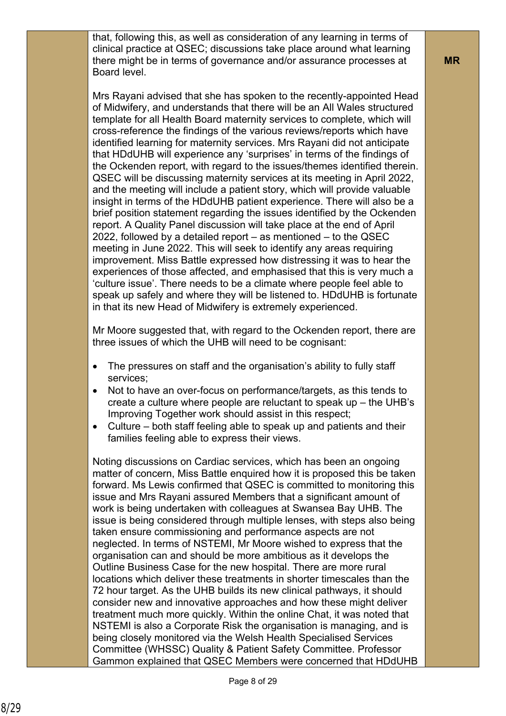that, following this, as well as consideration of any learning in terms of clinical practice at QSEC; discussions take place around what learning there might be in terms of governance and/or assurance processes at Board level.

Mrs Rayani advised that she has spoken to the recently-appointed Head of Midwifery, and understands that there will be an All Wales structured template for all Health Board maternity services to complete, which will cross-reference the findings of the various reviews/reports which have identified learning for maternity services. Mrs Rayani did not anticipate that HDdUHB will experience any 'surprises' in terms of the findings of the Ockenden report, with regard to the issues/themes identified therein. QSEC will be discussing maternity services at its meeting in April 2022, and the meeting will include a patient story, which will provide valuable insight in terms of the HDdUHB patient experience. There will also be a brief position statement regarding the issues identified by the Ockenden report. A Quality Panel discussion will take place at the end of April 2022, followed by a detailed report – as mentioned – to the QSEC meeting in June 2022. This will seek to identify any areas requiring improvement. Miss Battle expressed how distressing it was to hear the experiences of those affected, and emphasised that this is very much a 'culture issue'. There needs to be a climate where people feel able to speak up safely and where they will be listened to. HDdUHB is fortunate in that its new Head of Midwifery is extremely experienced.

Mr Moore suggested that, with regard to the Ockenden report, there are three issues of which the UHB will need to be cognisant:

- The pressures on staff and the organisation's ability to fully staff services;
- Not to have an over-focus on performance/targets, as this tends to create a culture where people are reluctant to speak up – the UHB's Improving Together work should assist in this respect;
- Culture both staff feeling able to speak up and patients and their families feeling able to express their views.

Noting discussions on Cardiac services, which has been an ongoing matter of concern, Miss Battle enquired how it is proposed this be taken forward. Ms Lewis confirmed that QSEC is committed to monitoring this issue and Mrs Rayani assured Members that a significant amount of work is being undertaken with colleagues at Swansea Bay UHB. The issue is being considered through multiple lenses, with steps also being taken ensure commissioning and performance aspects are not neglected. In terms of NSTEMI, Mr Moore wished to express that the organisation can and should be more ambitious as it develops the Outline Business Case for the new hospital. There are more rural locations which deliver these treatments in shorter timescales than the 72 hour target. As the UHB builds its new clinical pathways, it should consider new and innovative approaches and how these might deliver treatment much more quickly. Within the online Chat, it was noted that NSTEMI is also a Corporate Risk the organisation is managing, and is being closely monitored via the Welsh Health Specialised Services Committee (WHSSC) Quality & Patient Safety Committee. Professor Gammon explained that QSEC Members were concerned that HDdUHB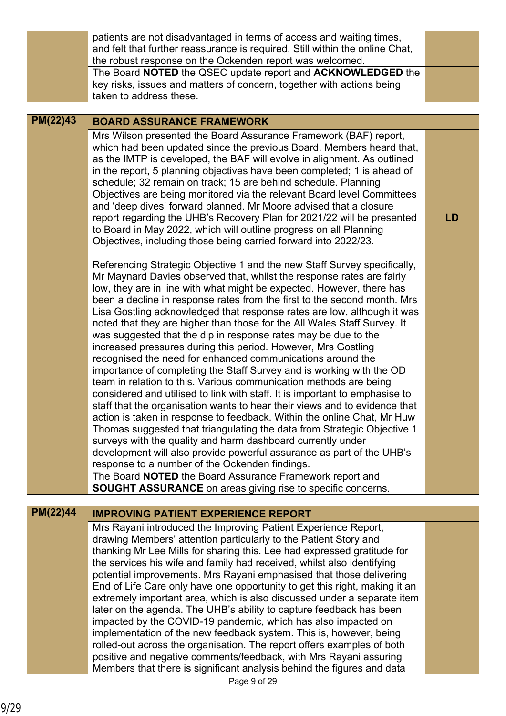|          | patients are not disadvantaged in terms of access and waiting times,<br>and felt that further reassurance is required. Still within the online Chat,<br>the robust response on the Ockenden report was welcomed.<br>The Board NOTED the QSEC update report and ACKNOWLEDGED the                                                                                                                                                                                                                                                                                                                                                                                                                                                                                                                                                                                                                                                                                                                                                                                                                                                                                                                                                                                                                                          |    |
|----------|--------------------------------------------------------------------------------------------------------------------------------------------------------------------------------------------------------------------------------------------------------------------------------------------------------------------------------------------------------------------------------------------------------------------------------------------------------------------------------------------------------------------------------------------------------------------------------------------------------------------------------------------------------------------------------------------------------------------------------------------------------------------------------------------------------------------------------------------------------------------------------------------------------------------------------------------------------------------------------------------------------------------------------------------------------------------------------------------------------------------------------------------------------------------------------------------------------------------------------------------------------------------------------------------------------------------------|----|
|          | key risks, issues and matters of concern, together with actions being<br>taken to address these.                                                                                                                                                                                                                                                                                                                                                                                                                                                                                                                                                                                                                                                                                                                                                                                                                                                                                                                                                                                                                                                                                                                                                                                                                         |    |
| PM(22)43 | <b>BOARD ASSURANCE FRAMEWORK</b>                                                                                                                                                                                                                                                                                                                                                                                                                                                                                                                                                                                                                                                                                                                                                                                                                                                                                                                                                                                                                                                                                                                                                                                                                                                                                         |    |
|          | Mrs Wilson presented the Board Assurance Framework (BAF) report,<br>which had been updated since the previous Board. Members heard that,<br>as the IMTP is developed, the BAF will evolve in alignment. As outlined<br>in the report, 5 planning objectives have been completed; 1 is ahead of<br>schedule; 32 remain on track; 15 are behind schedule. Planning<br>Objectives are being monitored via the relevant Board level Committees<br>and 'deep dives' forward planned. Mr Moore advised that a closure<br>report regarding the UHB's Recovery Plan for 2021/22 will be presented<br>to Board in May 2022, which will outline progress on all Planning<br>Objectives, including those being carried forward into 2022/23.                                                                                                                                                                                                                                                                                                                                                                                                                                                                                                                                                                                        | LD |
|          | Referencing Strategic Objective 1 and the new Staff Survey specifically,<br>Mr Maynard Davies observed that, whilst the response rates are fairly<br>low, they are in line with what might be expected. However, there has<br>been a decline in response rates from the first to the second month. Mrs<br>Lisa Gostling acknowledged that response rates are low, although it was<br>noted that they are higher than those for the All Wales Staff Survey. It<br>was suggested that the dip in response rates may be due to the<br>increased pressures during this period. However, Mrs Gostling<br>recognised the need for enhanced communications around the<br>importance of completing the Staff Survey and is working with the OD<br>team in relation to this. Various communication methods are being<br>considered and utilised to link with staff. It is important to emphasise to<br>staff that the organisation wants to hear their views and to evidence that<br>action is taken in response to feedback. Within the online Chat, Mr Huw<br>Thomas suggested that triangulating the data from Strategic Objective 1<br>surveys with the quality and harm dashboard currently under<br>development will also provide powerful assurance as part of the UHB's<br>response to a number of the Ockenden findings. |    |
|          | The Board NOTED the Board Assurance Framework report and<br><b>SOUGHT ASSURANCE</b> on areas giving rise to specific concerns.                                                                                                                                                                                                                                                                                                                                                                                                                                                                                                                                                                                                                                                                                                                                                                                                                                                                                                                                                                                                                                                                                                                                                                                           |    |
|          |                                                                                                                                                                                                                                                                                                                                                                                                                                                                                                                                                                                                                                                                                                                                                                                                                                                                                                                                                                                                                                                                                                                                                                                                                                                                                                                          |    |
| PM(22)44 | <b>IMPROVING PATIENT EXPERIENCE REPORT</b>                                                                                                                                                                                                                                                                                                                                                                                                                                                                                                                                                                                                                                                                                                                                                                                                                                                                                                                                                                                                                                                                                                                                                                                                                                                                               |    |
|          | Mrs Rayani introduced the Improving Patient Experience Report,<br>drawing Members' attention particularly to the Patient Story and<br>thanking Mr Lee Mills for sharing this. Lee had expressed gratitude for<br>the services his wife and family had received, whilst also identifying<br>potential improvements. Mrs Rayani emphasised that those delivering<br>End of Life Care only have one opportunity to get this right, making it an<br>extremely important area, which is also discussed under a separate item<br>later on the agenda. The UHB's ability to capture feedback has been<br>impacted by the COVID-19 pandemic, which has also impacted on<br>implementation of the new feedback system. This is, however, being<br>rolled-out across the organisation. The report offers examples of both                                                                                                                                                                                                                                                                                                                                                                                                                                                                                                          |    |
|          | positive and negative comments/feedback, with Mrs Rayani assuring<br>Members that there is significant analysis behind the figures and data                                                                                                                                                                                                                                                                                                                                                                                                                                                                                                                                                                                                                                                                                                                                                                                                                                                                                                                                                                                                                                                                                                                                                                              |    |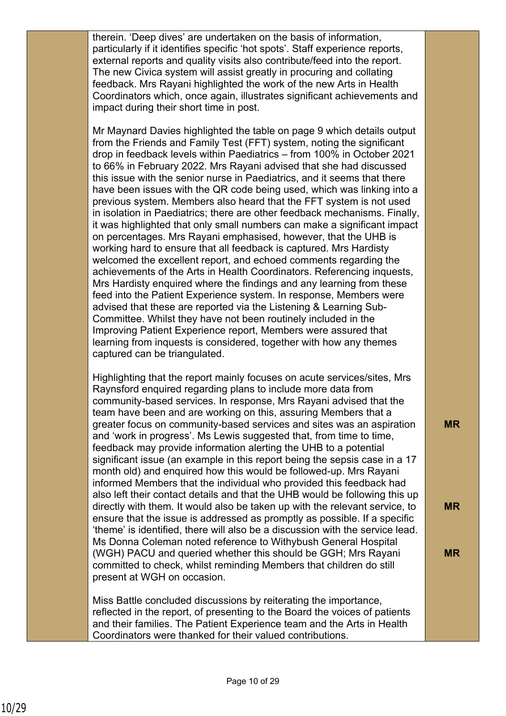therein. 'Deep dives' are undertaken on the basis of information, particularly if it identifies specific 'hot spots'. Staff experience reports, external reports and quality visits also contribute/feed into the report. The new Civica system will assist greatly in procuring and collating feedback. Mrs Rayani highlighted the work of the new Arts in Health Coordinators which, once again, illustrates significant achievements and impact during their short time in post.

Mr Maynard Davies highlighted the table on page 9 which details output from the Friends and Family Test (FFT) system, noting the significant drop in feedback levels within Paediatrics – from 100% in October 2021 to 66% in February 2022. Mrs Rayani advised that she had discussed this issue with the senior nurse in Paediatrics, and it seems that there have been issues with the QR code being used, which was linking into a previous system. Members also heard that the FFT system is not used in isolation in Paediatrics; there are other feedback mechanisms. Finally, it was highlighted that only small numbers can make a significant impact on percentages. Mrs Rayani emphasised, however, that the UHB is working hard to ensure that all feedback is captured. Mrs Hardisty welcomed the excellent report, and echoed comments regarding the achievements of the Arts in Health Coordinators. Referencing inquests, Mrs Hardisty enquired where the findings and any learning from these feed into the Patient Experience system. In response, Members were advised that these are reported via the Listening & Learning Sub-Committee. Whilst they have not been routinely included in the Improving Patient Experience report, Members were assured that learning from inquests is considered, together with how any themes captured can be triangulated.

Highlighting that the report mainly focuses on acute services/sites, Mrs Raynsford enquired regarding plans to include more data from community-based services. In response, Mrs Rayani advised that the team have been and are working on this, assuring Members that a greater focus on community-based services and sites was an aspiration and 'work in progress'. Ms Lewis suggested that, from time to time, feedback may provide information alerting the UHB to a potential significant issue (an example in this report being the sepsis case in a 17 month old) and enquired how this would be followed-up. Mrs Rayani informed Members that the individual who provided this feedback had also left their contact details and that the UHB would be following this up directly with them. It would also be taken up with the relevant service, to ensure that the issue is addressed as promptly as possible. If a specific 'theme' is identified, there will also be a discussion with the service lead. Ms Donna Coleman noted reference to Withybush General Hospital (WGH) PACU and queried whether this should be GGH; Mrs Rayani committed to check, whilst reminding Members that children do still present at WGH on occasion.

**MR**

**MR**

**MR**

Miss Battle concluded discussions by reiterating the importance, reflected in the report, of presenting to the Board the voices of patients and their families. The Patient Experience team and the Arts in Health Coordinators were thanked for their valued contributions.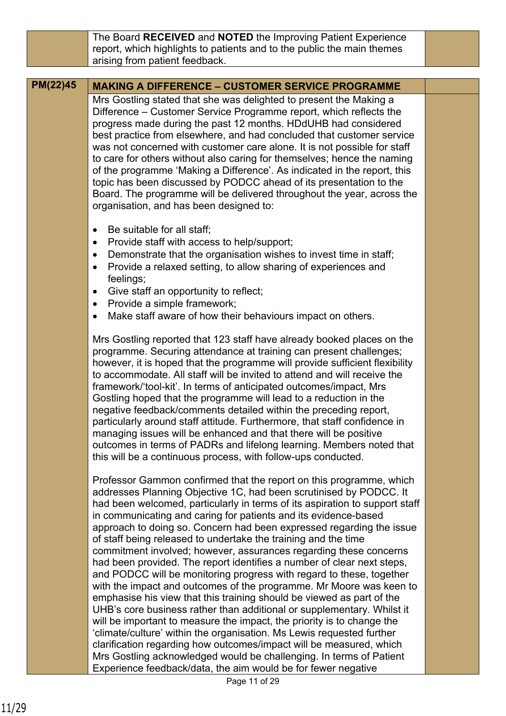The Board **RECEIVED** and **NOTED** the Improving Patient Experience report, which highlights to patients and to the public the main themes arising from patient feedback.

## **PM(22)45 MAKING A DIFFERENCE – CUSTOMER SERVICE PROGRAMME**

Mrs Gostling stated that she was delighted to present the Making a Difference – Customer Service Programme report, which reflects the progress made during the past 12 months. HDdUHB had considered best practice from elsewhere, and had concluded that customer service was not concerned with customer care alone. It is not possible for staff to care for others without also caring for themselves; hence the naming of the programme 'Making a Difference'. As indicated in the report, this topic has been discussed by PODCC ahead of its presentation to the Board. The programme will be delivered throughout the year, across the organisation, and has been designed to:

- Be suitable for all staff;
- Provide staff with access to help/support;
- Demonstrate that the organisation wishes to invest time in staff;
- Provide a relaxed setting, to allow sharing of experiences and feelings;
- Give staff an opportunity to reflect;
- Provide a simple framework;
- Make staff aware of how their behaviours impact on others.

Mrs Gostling reported that 123 staff have already booked places on the programme. Securing attendance at training can present challenges; however, it is hoped that the programme will provide sufficient flexibility to accommodate. All staff will be invited to attend and will receive the framework/'tool-kit'. In terms of anticipated outcomes/impact, Mrs Gostling hoped that the programme will lead to a reduction in the negative feedback/comments detailed within the preceding report, particularly around staff attitude. Furthermore, that staff confidence in managing issues will be enhanced and that there will be positive outcomes in terms of PADRs and lifelong learning. Members noted that this will be a continuous process, with follow-ups conducted.

Professor Gammon confirmed that the report on this programme, which addresses Planning Objective 1C, had been scrutinised by PODCC. It had been welcomed, particularly in terms of its aspiration to support staff in communicating and caring for patients and its evidence-based approach to doing so. Concern had been expressed regarding the issue of staff being released to undertake the training and the time commitment involved; however, assurances regarding these concerns had been provided. The report identifies a number of clear next steps, and PODCC will be monitoring progress with regard to these, together with the impact and outcomes of the programme. Mr Moore was keen to emphasise his view that this training should be viewed as part of the UHB's core business rather than additional or supplementary. Whilst it will be important to measure the impact, the priority is to change the 'climate/culture' within the organisation. Ms Lewis requested further clarification regarding how outcomes/impact will be measured, which Mrs Gostling acknowledged would be challenging. In terms of Patient Experience feedback/data, the aim would be for fewer negative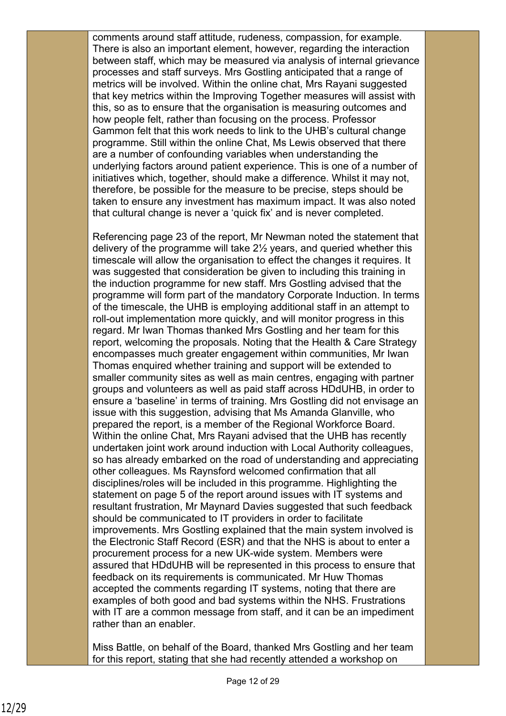comments around staff attitude, rudeness, compassion, for example. There is also an important element, however, regarding the interaction between staff, which may be measured via analysis of internal grievance processes and staff surveys. Mrs Gostling anticipated that a range of metrics will be involved. Within the online chat, Mrs Rayani suggested that key metrics within the Improving Together measures will assist with this, so as to ensure that the organisation is measuring outcomes and how people felt, rather than focusing on the process. Professor Gammon felt that this work needs to link to the UHB's cultural change programme. Still within the online Chat, Ms Lewis observed that there are a number of confounding variables when understanding the underlying factors around patient experience. This is one of a number of initiatives which, together, should make a difference. Whilst it may not, therefore, be possible for the measure to be precise, steps should be taken to ensure any investment has maximum impact. It was also noted that cultural change is never a 'quick fix' and is never completed.

Referencing page 23 of the report, Mr Newman noted the statement that delivery of the programme will take 2½ years, and queried whether this timescale will allow the organisation to effect the changes it requires. It was suggested that consideration be given to including this training in the induction programme for new staff. Mrs Gostling advised that the programme will form part of the mandatory Corporate Induction. In terms of the timescale, the UHB is employing additional staff in an attempt to roll-out implementation more quickly, and will monitor progress in this regard. Mr Iwan Thomas thanked Mrs Gostling and her team for this report, welcoming the proposals. Noting that the Health & Care Strategy encompasses much greater engagement within communities, Mr Iwan Thomas enquired whether training and support will be extended to smaller community sites as well as main centres, engaging with partner groups and volunteers as well as paid staff across HDdUHB, in order to ensure a 'baseline' in terms of training. Mrs Gostling did not envisage an issue with this suggestion, advising that Ms Amanda Glanville, who prepared the report, is a member of the Regional Workforce Board. Within the online Chat, Mrs Rayani advised that the UHB has recently undertaken joint work around induction with Local Authority colleagues, so has already embarked on the road of understanding and appreciating other colleagues. Ms Raynsford welcomed confirmation that all disciplines/roles will be included in this programme. Highlighting the statement on page 5 of the report around issues with IT systems and resultant frustration, Mr Maynard Davies suggested that such feedback should be communicated to IT providers in order to facilitate improvements. Mrs Gostling explained that the main system involved is the Electronic Staff Record (ESR) and that the NHS is about to enter a procurement process for a new UK-wide system. Members were assured that HDdUHB will be represented in this process to ensure that feedback on its requirements is communicated. Mr Huw Thomas accepted the comments regarding IT systems, noting that there are examples of both good and bad systems within the NHS. Frustrations with IT are a common message from staff, and it can be an impediment rather than an enabler.

Miss Battle, on behalf of the Board, thanked Mrs Gostling and her team for this report, stating that she had recently attended a workshop on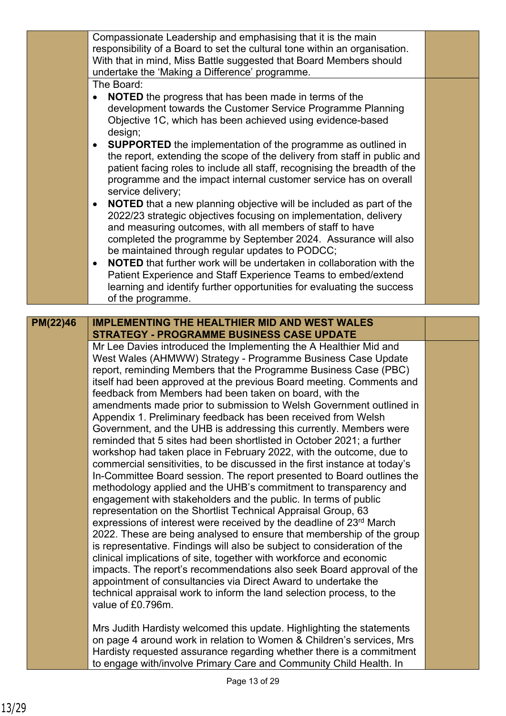|          | Compassionate Leadership and emphasising that it is the main<br>responsibility of a Board to set the cultural tone within an organisation.<br>With that in mind, Miss Battle suggested that Board Members should<br>undertake the 'Making a Difference' programme.                                                                  |  |
|----------|-------------------------------------------------------------------------------------------------------------------------------------------------------------------------------------------------------------------------------------------------------------------------------------------------------------------------------------|--|
|          | The Board:<br><b>NOTED</b> the progress that has been made in terms of the<br>development towards the Customer Service Programme Planning<br>Objective 1C, which has been achieved using evidence-based<br>design;                                                                                                                  |  |
|          | <b>SUPPORTED</b> the implementation of the programme as outlined in<br>$\bullet$<br>the report, extending the scope of the delivery from staff in public and<br>patient facing roles to include all staff, recognising the breadth of the<br>programme and the impact internal customer service has on overall<br>service delivery; |  |
|          | NOTED that a new planning objective will be included as part of the<br>2022/23 strategic objectives focusing on implementation, delivery<br>and measuring outcomes, with all members of staff to have<br>completed the programme by September 2024. Assurance will also<br>be maintained through regular updates to PODCC;          |  |
|          | <b>NOTED</b> that further work will be undertaken in collaboration with the<br>$\bullet$<br>Patient Experience and Staff Experience Teams to embed/extend<br>learning and identify further opportunities for evaluating the success<br>of the programme.                                                                            |  |
| PM(22)46 | <b>IMPLEMENTING THE HEALTHIER MID AND WEST WALES</b>                                                                                                                                                                                                                                                                                |  |
|          | <b>STRATEGY - PROGRAMME BUSINESS CASE UPDATE</b>                                                                                                                                                                                                                                                                                    |  |
|          | Mr Lee Davies introduced the Implementing the A Healthier Mid and                                                                                                                                                                                                                                                                   |  |
|          | West Wales (AHMWW) Strategy - Programme Business Case Update                                                                                                                                                                                                                                                                        |  |
|          | report, reminding Members that the Programme Business Case (PBC)<br>itself had been approved at the previous Board meeting. Comments and                                                                                                                                                                                            |  |
|          | feedback from Members had been taken on board, with the                                                                                                                                                                                                                                                                             |  |
|          | amendments made prior to submission to Welsh Government outlined in                                                                                                                                                                                                                                                                 |  |
|          | Appendix 1. Preliminary feedback has been received from Welsh                                                                                                                                                                                                                                                                       |  |
|          | Government, and the UHB is addressing this currently. Members were                                                                                                                                                                                                                                                                  |  |
|          | reminded that 5 sites had been shortlisted in October 2021; a further<br>workshop had taken place in February 2022, with the outcome, due to                                                                                                                                                                                        |  |
|          | commercial sensitivities, to be discussed in the first instance at today's                                                                                                                                                                                                                                                          |  |
|          | In-Committee Board session. The report presented to Board outlines the                                                                                                                                                                                                                                                              |  |
|          | methodology applied and the UHB's commitment to transparency and                                                                                                                                                                                                                                                                    |  |
|          | engagement with stakeholders and the public. In terms of public<br>representation on the Shortlist Technical Appraisal Group, 63                                                                                                                                                                                                    |  |
|          | expressions of interest were received by the deadline of 23rd March                                                                                                                                                                                                                                                                 |  |
|          | 2022. These are being analysed to ensure that membership of the group                                                                                                                                                                                                                                                               |  |
|          | is representative. Findings will also be subject to consideration of the<br>clinical implications of site, together with workforce and economic                                                                                                                                                                                     |  |
|          | impacts. The report's recommendations also seek Board approval of the                                                                                                                                                                                                                                                               |  |
|          | appointment of consultancies via Direct Award to undertake the                                                                                                                                                                                                                                                                      |  |
|          | technical appraisal work to inform the land selection process, to the                                                                                                                                                                                                                                                               |  |
|          | value of £0.796m.                                                                                                                                                                                                                                                                                                                   |  |
|          | Mrs Judith Hardisty welcomed this update. Highlighting the statements                                                                                                                                                                                                                                                               |  |
|          | on page 4 around work in relation to Women & Children's services, Mrs<br>Hardisty requested assurance regarding whether there is a commitment                                                                                                                                                                                       |  |
|          | to engage with/involve Primary Care and Community Child Health. In                                                                                                                                                                                                                                                                  |  |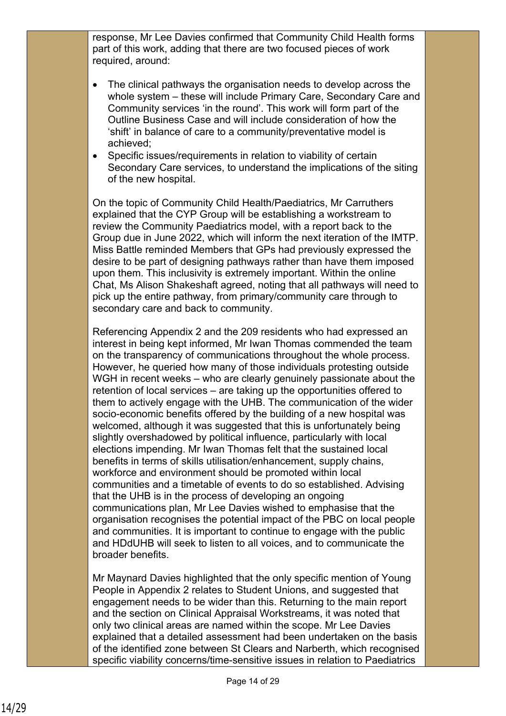response, Mr Lee Davies confirmed that Community Child Health forms part of this work, adding that there are two focused pieces of work required, around:

- The clinical pathways the organisation needs to develop across the whole system – these will include Primary Care, Secondary Care and Community services 'in the round'. This work will form part of the Outline Business Case and will include consideration of how the 'shift' in balance of care to a community/preventative model is achieved;
- Specific issues/requirements in relation to viability of certain Secondary Care services, to understand the implications of the siting of the new hospital.

On the topic of Community Child Health/Paediatrics, Mr Carruthers explained that the CYP Group will be establishing a workstream to review the Community Paediatrics model, with a report back to the Group due in June 2022, which will inform the next iteration of the IMTP. Miss Battle reminded Members that GPs had previously expressed the desire to be part of designing pathways rather than have them imposed upon them. This inclusivity is extremely important. Within the online Chat, Ms Alison Shakeshaft agreed, noting that all pathways will need to pick up the entire pathway, from primary/community care through to secondary care and back to community.

Referencing Appendix 2 and the 209 residents who had expressed an interest in being kept informed, Mr Iwan Thomas commended the team on the transparency of communications throughout the whole process. However, he queried how many of those individuals protesting outside WGH in recent weeks – who are clearly genuinely passionate about the retention of local services – are taking up the opportunities offered to them to actively engage with the UHB. The communication of the wider socio-economic benefits offered by the building of a new hospital was welcomed, although it was suggested that this is unfortunately being slightly overshadowed by political influence, particularly with local elections impending. Mr Iwan Thomas felt that the sustained local benefits in terms of skills utilisation/enhancement, supply chains, workforce and environment should be promoted within local communities and a timetable of events to do so established. Advising that the UHB is in the process of developing an ongoing communications plan, Mr Lee Davies wished to emphasise that the organisation recognises the potential impact of the PBC on local people and communities. It is important to continue to engage with the public and HDdUHB will seek to listen to all voices, and to communicate the broader benefits.

Mr Maynard Davies highlighted that the only specific mention of Young People in Appendix 2 relates to Student Unions, and suggested that engagement needs to be wider than this. Returning to the main report and the section on Clinical Appraisal Workstreams, it was noted that only two clinical areas are named within the scope. Mr Lee Davies explained that a detailed assessment had been undertaken on the basis of the identified zone between St Clears and Narberth, which recognised specific viability concerns/time-sensitive issues in relation to Paediatrics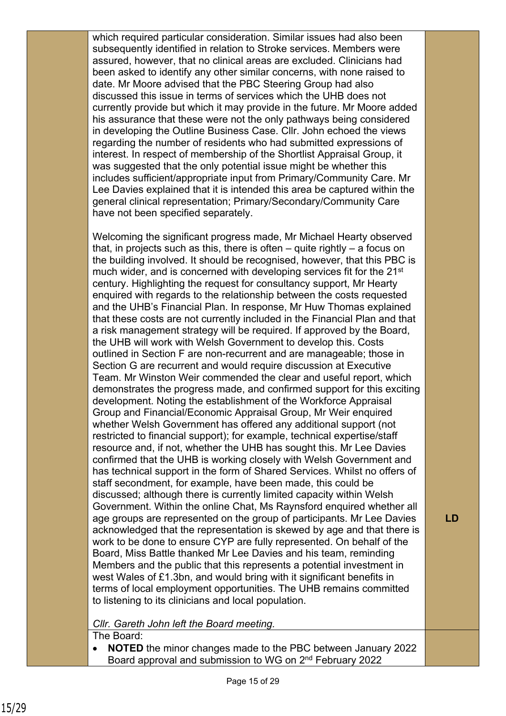which required particular consideration. Similar issues had also been subsequently identified in relation to Stroke services. Members were assured, however, that no clinical areas are excluded. Clinicians had been asked to identify any other similar concerns, with none raised to date. Mr Moore advised that the PBC Steering Group had also discussed this issue in terms of services which the UHB does not currently provide but which it may provide in the future. Mr Moore added his assurance that these were not the only pathways being considered in developing the Outline Business Case. Cllr. John echoed the views regarding the number of residents who had submitted expressions of interest. In respect of membership of the Shortlist Appraisal Group, it was suggested that the only potential issue might be whether this includes sufficient/appropriate input from Primary/Community Care. Mr Lee Davies explained that it is intended this area be captured within the general clinical representation; Primary/Secondary/Community Care have not been specified separately.

Welcoming the significant progress made, Mr Michael Hearty observed that, in projects such as this, there is often – quite rightly – a focus on the building involved. It should be recognised, however, that this PBC is much wider, and is concerned with developing services fit for the 21<sup>st</sup> century. Highlighting the request for consultancy support, Mr Hearty enquired with regards to the relationship between the costs requested and the UHB's Financial Plan. In response, Mr Huw Thomas explained that these costs are not currently included in the Financial Plan and that a risk management strategy will be required. If approved by the Board, the UHB will work with Welsh Government to develop this. Costs outlined in Section F are non-recurrent and are manageable; those in Section G are recurrent and would require discussion at Executive Team. Mr Winston Weir commended the clear and useful report, which demonstrates the progress made, and confirmed support for this exciting development. Noting the establishment of the Workforce Appraisal Group and Financial/Economic Appraisal Group, Mr Weir enquired whether Welsh Government has offered any additional support (not restricted to financial support); for example, technical expertise/staff resource and, if not, whether the UHB has sought this. Mr Lee Davies confirmed that the UHB is working closely with Welsh Government and has technical support in the form of Shared Services. Whilst no offers of staff secondment, for example, have been made, this could be discussed; although there is currently limited capacity within Welsh Government. Within the online Chat, Ms Raynsford enquired whether all age groups are represented on the group of participants. Mr Lee Davies acknowledged that the representation is skewed by age and that there is work to be done to ensure CYP are fully represented. On behalf of the Board, Miss Battle thanked Mr Lee Davies and his team, reminding Members and the public that this represents a potential investment in west Wales of £1.3bn, and would bring with it significant benefits in terms of local employment opportunities. The UHB remains committed to listening to its clinicians and local population.

## *Cllr. Gareth John left the Board meeting.*

The Board:

• **NOTED** the minor changes made to the PBC between January 2022 Board approval and submission to WG on 2nd February 2022

**LD**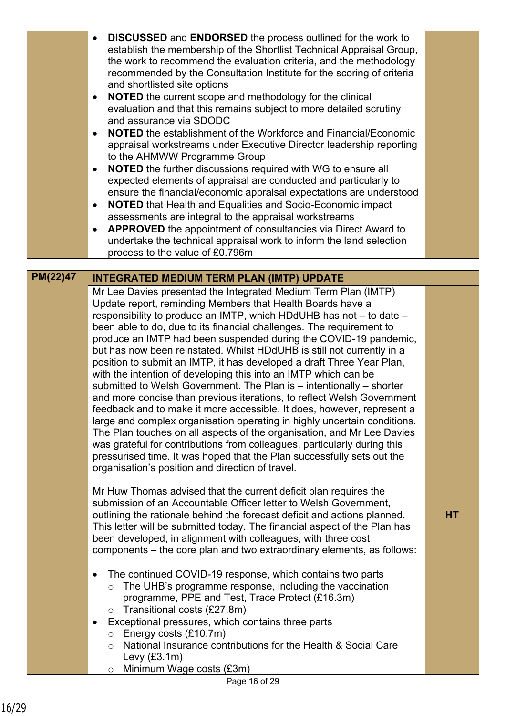|          | <b>DISCUSSED</b> and <b>ENDORSED</b> the process outlined for the work to<br>$\bullet$<br>establish the membership of the Shortlist Technical Appraisal Group,<br>the work to recommend the evaluation criteria, and the methodology<br>recommended by the Consultation Institute for the scoring of criteria<br>and shortlisted site options<br>NOTED the current scope and methodology for the clinical<br>$\bullet$<br>evaluation and that this remains subject to more detailed scrutiny<br>and assurance via SDODC<br><b>NOTED</b> the establishment of the Workforce and Financial/Economic<br>$\bullet$<br>appraisal workstreams under Executive Director leadership reporting<br>to the AHMWW Programme Group<br><b>NOTED</b> the further discussions required with WG to ensure all<br>$\bullet$<br>expected elements of appraisal are conducted and particularly to<br>ensure the financial/economic appraisal expectations are understood<br><b>NOTED</b> that Health and Equalities and Socio-Economic impact<br>$\bullet$<br>assessments are integral to the appraisal workstreams<br>APPROVED the appointment of consultancies via Direct Award to<br>$\bullet$<br>undertake the technical appraisal work to inform the land selection<br>process to the value of £0.796m |    |
|----------|-----------------------------------------------------------------------------------------------------------------------------------------------------------------------------------------------------------------------------------------------------------------------------------------------------------------------------------------------------------------------------------------------------------------------------------------------------------------------------------------------------------------------------------------------------------------------------------------------------------------------------------------------------------------------------------------------------------------------------------------------------------------------------------------------------------------------------------------------------------------------------------------------------------------------------------------------------------------------------------------------------------------------------------------------------------------------------------------------------------------------------------------------------------------------------------------------------------------------------------------------------------------------------------------|----|
|          |                                                                                                                                                                                                                                                                                                                                                                                                                                                                                                                                                                                                                                                                                                                                                                                                                                                                                                                                                                                                                                                                                                                                                                                                                                                                                         |    |
| PM(22)47 | <b>INTEGRATED MEDIUM TERM PLAN (IMTP) UPDATE</b>                                                                                                                                                                                                                                                                                                                                                                                                                                                                                                                                                                                                                                                                                                                                                                                                                                                                                                                                                                                                                                                                                                                                                                                                                                        |    |
|          | Mr Lee Davies presented the Integrated Medium Term Plan (IMTP)<br>Update report, reminding Members that Health Boards have a<br>responsibility to produce an IMTP, which HDdUHB has not – to date –<br>been able to do, due to its financial challenges. The requirement to<br>produce an IMTP had been suspended during the COVID-19 pandemic,<br>but has now been reinstated. Whilst HDdUHB is still not currently in a<br>position to submit an IMTP, it has developed a draft Three Year Plan,<br>with the intention of developing this into an IMTP which can be<br>submitted to Welsh Government. The Plan is - intentionally - shorter<br>and more concise than previous iterations, to reflect Welsh Government<br>feedback and to make it more accessible. It does, however, represent a<br>large and complex organisation operating in highly uncertain conditions.<br>The Plan touches on all aspects of the organisation, and Mr Lee Davies<br>was grateful for contributions from colleagues, particularly during this<br>pressurised time. It was hoped that the Plan successfully sets out the<br>organisation's position and direction of travel.                                                                                                                       |    |
|          | Mr Huw Thomas advised that the current deficit plan requires the<br>submission of an Accountable Officer letter to Welsh Government,<br>outlining the rationale behind the forecast deficit and actions planned.<br>This letter will be submitted today. The financial aspect of the Plan has<br>been developed, in alignment with colleagues, with three cost<br>components – the core plan and two extraordinary elements, as follows:                                                                                                                                                                                                                                                                                                                                                                                                                                                                                                                                                                                                                                                                                                                                                                                                                                                | HТ |
|          |                                                                                                                                                                                                                                                                                                                                                                                                                                                                                                                                                                                                                                                                                                                                                                                                                                                                                                                                                                                                                                                                                                                                                                                                                                                                                         |    |

- The continued COVID-19 response, which contains two parts
	- o The UHB's programme response, including the vaccination programme, PPE and Test, Trace Protect (£16.3m) o Transitional costs (£27.8m)
- Exceptional pressures, which contains three parts
	- o Energy costs (£10.7m)
	- o National Insurance contributions for the Health & Social Care Levy (£3.1m)
	- o Minimum Wage costs (£3m)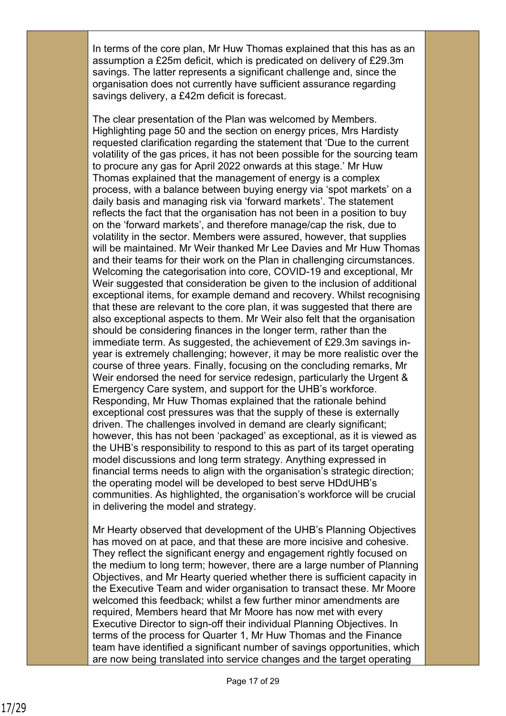In terms of the core plan, Mr Huw Thomas explained that this has as an assumption a £25m deficit, which is predicated on delivery of £29.3m savings. The latter represents a significant challenge and, since the organisation does not currently have sufficient assurance regarding savings delivery, a £42m deficit is forecast.

The clear presentation of the Plan was welcomed by Members. Highlighting page 50 and the section on energy prices, Mrs Hardisty requested clarification regarding the statement that 'Due to the current volatility of the gas prices, it has not been possible for the sourcing team to procure any gas for April 2022 onwards at this stage.' Mr Huw Thomas explained that the management of energy is a complex process, with a balance between buying energy via 'spot markets' on a daily basis and managing risk via 'forward markets'. The statement reflects the fact that the organisation has not been in a position to buy on the 'forward markets', and therefore manage/cap the risk, due to volatility in the sector. Members were assured, however, that supplies will be maintained. Mr Weir thanked Mr Lee Davies and Mr Huw Thomas and their teams for their work on the Plan in challenging circumstances. Welcoming the categorisation into core, COVID-19 and exceptional, Mr Weir suggested that consideration be given to the inclusion of additional exceptional items, for example demand and recovery. Whilst recognising that these are relevant to the core plan, it was suggested that there are also exceptional aspects to them. Mr Weir also felt that the organisation should be considering finances in the longer term, rather than the immediate term. As suggested, the achievement of £29.3m savings inyear is extremely challenging; however, it may be more realistic over the course of three years. Finally, focusing on the concluding remarks, Mr Weir endorsed the need for service redesign, particularly the Urgent & Emergency Care system, and support for the UHB's workforce. Responding, Mr Huw Thomas explained that the rationale behind exceptional cost pressures was that the supply of these is externally driven. The challenges involved in demand are clearly significant; however, this has not been 'packaged' as exceptional, as it is viewed as the UHB's responsibility to respond to this as part of its target operating model discussions and long term strategy. Anything expressed in financial terms needs to align with the organisation's strategic direction; the operating model will be developed to best serve HDdUHB's communities. As highlighted, the organisation's workforce will be crucial in delivering the model and strategy.

Mr Hearty observed that development of the UHB's Planning Objectives has moved on at pace, and that these are more incisive and cohesive. They reflect the significant energy and engagement rightly focused on the medium to long term; however, there are a large number of Planning Objectives, and Mr Hearty queried whether there is sufficient capacity in the Executive Team and wider organisation to transact these. Mr Moore welcomed this feedback; whilst a few further minor amendments are required, Members heard that Mr Moore has now met with every Executive Director to sign-off their individual Planning Objectives. In terms of the process for Quarter 1, Mr Huw Thomas and the Finance team have identified a significant number of savings opportunities, which are now being translated into service changes and the target operating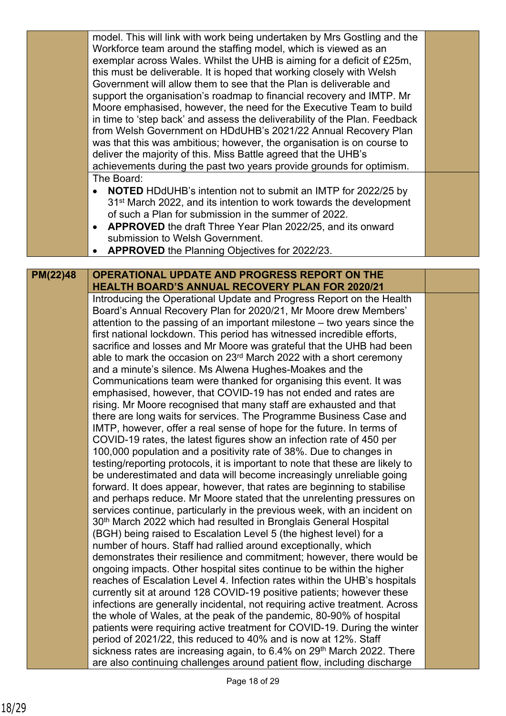|          | model. This will link with work being undertaken by Mrs Gostling and the<br>Workforce team around the staffing model, which is viewed as an<br>exemplar across Wales. Whilst the UHB is aiming for a deficit of £25m,<br>this must be deliverable. It is hoped that working closely with Welsh<br>Government will allow them to see that the Plan is deliverable and<br>support the organisation's roadmap to financial recovery and IMTP. Mr<br>Moore emphasised, however, the need for the Executive Team to build<br>in time to 'step back' and assess the deliverability of the Plan. Feedback |  |
|----------|----------------------------------------------------------------------------------------------------------------------------------------------------------------------------------------------------------------------------------------------------------------------------------------------------------------------------------------------------------------------------------------------------------------------------------------------------------------------------------------------------------------------------------------------------------------------------------------------------|--|
|          | from Welsh Government on HDdUHB's 2021/22 Annual Recovery Plan<br>was that this was ambitious; however, the organisation is on course to<br>deliver the majority of this. Miss Battle agreed that the UHB's<br>achievements during the past two years provide grounds for optimism.                                                                                                                                                                                                                                                                                                                |  |
|          | The Board:<br><b>NOTED</b> HDdUHB's intention not to submit an IMTP for 2022/25 by<br>$\bullet$<br>31 <sup>st</sup> March 2022, and its intention to work towards the development<br>of such a Plan for submission in the summer of 2022.<br><b>APPROVED</b> the draft Three Year Plan 2022/25, and its onward<br>submission to Welsh Government.<br><b>APPROVED</b> the Planning Objectives for 2022/23.                                                                                                                                                                                          |  |
|          |                                                                                                                                                                                                                                                                                                                                                                                                                                                                                                                                                                                                    |  |
| PM(22)48 | <b>OPERATIONAL UPDATE AND PROGRESS REPORT ON THE</b>                                                                                                                                                                                                                                                                                                                                                                                                                                                                                                                                               |  |
|          | <b>HEALTH BOARD'S ANNUAL RECOVERY PLAN FOR 2020/21</b><br>Introducing the Operational Update and Progress Report on the Health                                                                                                                                                                                                                                                                                                                                                                                                                                                                     |  |
|          | Board's Annual Recovery Plan for 2020/21, Mr Moore drew Members'                                                                                                                                                                                                                                                                                                                                                                                                                                                                                                                                   |  |
|          | attention to the passing of an important milestone - two years since the                                                                                                                                                                                                                                                                                                                                                                                                                                                                                                                           |  |
|          | first national lockdown. This period has witnessed incredible efforts,                                                                                                                                                                                                                                                                                                                                                                                                                                                                                                                             |  |
|          | sacrifice and losses and Mr Moore was grateful that the UHB had been<br>able to mark the occasion on 23 <sup>rd</sup> March 2022 with a short ceremony                                                                                                                                                                                                                                                                                                                                                                                                                                             |  |
|          | and a minute's silence. Ms Alwena Hughes-Moakes and the                                                                                                                                                                                                                                                                                                                                                                                                                                                                                                                                            |  |
|          | Communications team were thanked for organising this event. It was                                                                                                                                                                                                                                                                                                                                                                                                                                                                                                                                 |  |
|          | emphasised, however, that COVID-19 has not ended and rates are                                                                                                                                                                                                                                                                                                                                                                                                                                                                                                                                     |  |
|          | rising. Mr Moore recognised that many staff are exhausted and that                                                                                                                                                                                                                                                                                                                                                                                                                                                                                                                                 |  |
|          | there are long waits for services. The Programme Business Case and                                                                                                                                                                                                                                                                                                                                                                                                                                                                                                                                 |  |
|          | IMTP, however, offer a real sense of hope for the future. In terms of<br>COVID-19 rates, the latest figures show an infection rate of 450 per                                                                                                                                                                                                                                                                                                                                                                                                                                                      |  |
|          | 100,000 population and a positivity rate of 38%. Due to changes in                                                                                                                                                                                                                                                                                                                                                                                                                                                                                                                                 |  |
|          | testing/reporting protocols, it is important to note that these are likely to                                                                                                                                                                                                                                                                                                                                                                                                                                                                                                                      |  |
|          | be underestimated and data will become increasingly unreliable going<br>forward. It does appear, however, that rates are beginning to stabilise                                                                                                                                                                                                                                                                                                                                                                                                                                                    |  |
|          | and perhaps reduce. Mr Moore stated that the unrelenting pressures on<br>services continue, particularly in the previous week, with an incident on                                                                                                                                                                                                                                                                                                                                                                                                                                                 |  |
|          | 30 <sup>th</sup> March 2022 which had resulted in Bronglais General Hospital                                                                                                                                                                                                                                                                                                                                                                                                                                                                                                                       |  |
|          | (BGH) being raised to Escalation Level 5 (the highest level) for a                                                                                                                                                                                                                                                                                                                                                                                                                                                                                                                                 |  |
|          | number of hours. Staff had rallied around exceptionally, which                                                                                                                                                                                                                                                                                                                                                                                                                                                                                                                                     |  |
|          | demonstrates their resilience and commitment; however, there would be                                                                                                                                                                                                                                                                                                                                                                                                                                                                                                                              |  |
|          | ongoing impacts. Other hospital sites continue to be within the higher<br>reaches of Escalation Level 4. Infection rates within the UHB's hospitals                                                                                                                                                                                                                                                                                                                                                                                                                                                |  |
|          | currently sit at around 128 COVID-19 positive patients; however these                                                                                                                                                                                                                                                                                                                                                                                                                                                                                                                              |  |
|          | infections are generally incidental, not requiring active treatment. Across                                                                                                                                                                                                                                                                                                                                                                                                                                                                                                                        |  |
|          | the whole of Wales, at the peak of the pandemic, 80-90% of hospital                                                                                                                                                                                                                                                                                                                                                                                                                                                                                                                                |  |
|          | patients were requiring active treatment for COVID-19. During the winter                                                                                                                                                                                                                                                                                                                                                                                                                                                                                                                           |  |
|          | period of 2021/22, this reduced to 40% and is now at 12%. Staff<br>sickness rates are increasing again, to 6.4% on 29 <sup>th</sup> March 2022. There                                                                                                                                                                                                                                                                                                                                                                                                                                              |  |
|          | are also continuing challenges around patient flow, including discharge                                                                                                                                                                                                                                                                                                                                                                                                                                                                                                                            |  |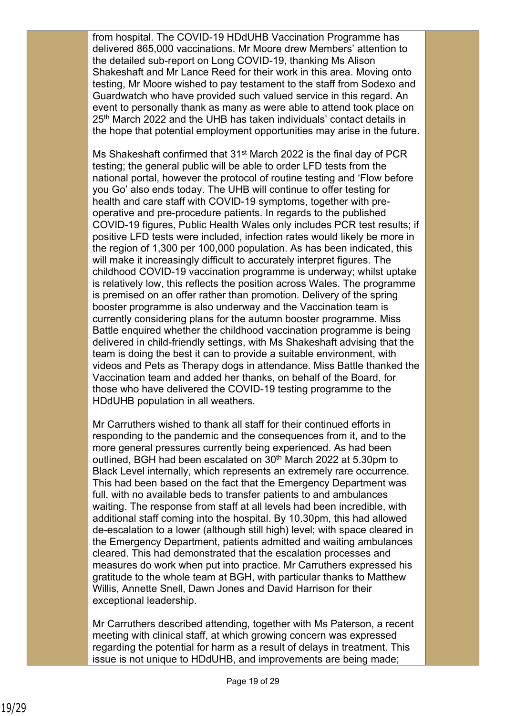from hospital. The COVID-19 HDdUHB Vaccination Programme has delivered 865,000 vaccinations. Mr Moore drew Members' attention to the detailed sub-report on Long COVID-19, thanking Ms Alison Shakeshaft and Mr Lance Reed for their work in this area. Moving onto testing, Mr Moore wished to pay testament to the staff from Sodexo and Guardwatch who have provided such valued service in this regard. An event to personally thank as many as were able to attend took place on 25<sup>th</sup> March 2022 and the UHB has taken individuals' contact details in the hope that potential employment opportunities may arise in the future.

Ms Shakeshaft confirmed that 31<sup>st</sup> March 2022 is the final day of PCR testing; the general public will be able to order LFD tests from the national portal, however the protocol of routine testing and 'Flow before you Go' also ends today. The UHB will continue to offer testing for health and care staff with COVID-19 symptoms, together with preoperative and pre-procedure patients. In regards to the published COVID-19 figures, Public Health Wales only includes PCR test results; if positive LFD tests were included, infection rates would likely be more in the region of 1,300 per 100,000 population. As has been indicated, this will make it increasingly difficult to accurately interpret figures. The childhood COVID-19 vaccination programme is underway; whilst uptake is relatively low, this reflects the position across Wales. The programme is premised on an offer rather than promotion. Delivery of the spring booster programme is also underway and the Vaccination team is currently considering plans for the autumn booster programme. Miss Battle enquired whether the childhood vaccination programme is being delivered in child-friendly settings, with Ms Shakeshaft advising that the team is doing the best it can to provide a suitable environment, with videos and Pets as Therapy dogs in attendance. Miss Battle thanked the Vaccination team and added her thanks, on behalf of the Board, for those who have delivered the COVID-19 testing programme to the HDdUHB population in all weathers.

Mr Carruthers wished to thank all staff for their continued efforts in responding to the pandemic and the consequences from it, and to the more general pressures currently being experienced. As had been outlined, BGH had been escalated on 30<sup>th</sup> March 2022 at 5.30pm to Black Level internally, which represents an extremely rare occurrence. This had been based on the fact that the Emergency Department was full, with no available beds to transfer patients to and ambulances waiting. The response from staff at all levels had been incredible, with additional staff coming into the hospital. By 10.30pm, this had allowed de-escalation to a lower (although still high) level; with space cleared in the Emergency Department, patients admitted and waiting ambulances cleared. This had demonstrated that the escalation processes and measures do work when put into practice. Mr Carruthers expressed his gratitude to the whole team at BGH, with particular thanks to Matthew Willis, Annette Snell, Dawn Jones and David Harrison for their exceptional leadership.

Mr Carruthers described attending, together with Ms Paterson, a recent meeting with clinical staff, at which growing concern was expressed regarding the potential for harm as a result of delays in treatment. This issue is not unique to HDdUHB, and improvements are being made;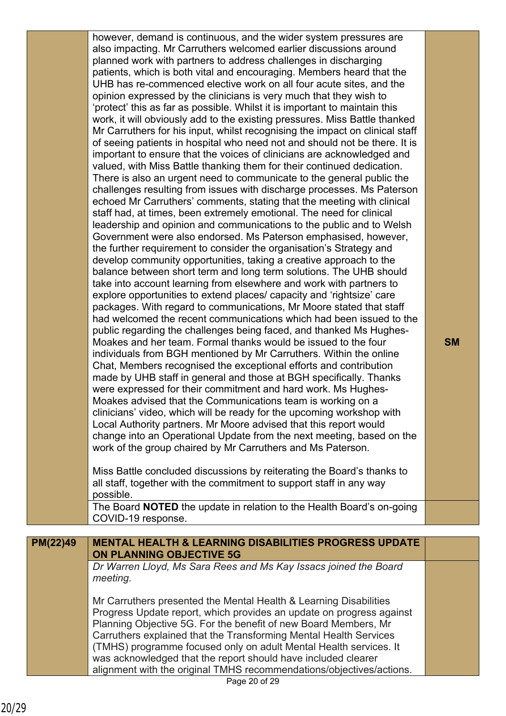|          | however, demand is continuous, and the wider system pressures are<br>also impacting. Mr Carruthers welcomed earlier discussions around<br>planned work with partners to address challenges in discharging<br>patients, which is both vital and encouraging. Members heard that the<br>UHB has re-commenced elective work on all four acute sites, and the<br>opinion expressed by the clinicians is very much that they wish to<br>'protect' this as far as possible. Whilst it is important to maintain this<br>work, it will obviously add to the existing pressures. Miss Battle thanked<br>Mr Carruthers for his input, whilst recognising the impact on clinical staff<br>of seeing patients in hospital who need not and should not be there. It is<br>important to ensure that the voices of clinicians are acknowledged and<br>valued, with Miss Battle thanking them for their continued dedication.<br>There is also an urgent need to communicate to the general public the<br>challenges resulting from issues with discharge processes. Ms Paterson<br>echoed Mr Carruthers' comments, stating that the meeting with clinical<br>staff had, at times, been extremely emotional. The need for clinical<br>leadership and opinion and communications to the public and to Welsh<br>Government were also endorsed. Ms Paterson emphasised, however,<br>the further requirement to consider the organisation's Strategy and<br>develop community opportunities, taking a creative approach to the<br>balance between short term and long term solutions. The UHB should<br>take into account learning from elsewhere and work with partners to<br>explore opportunities to extend places/ capacity and 'rightsize' care<br>packages. With regard to communications, Mr Moore stated that staff<br>had welcomed the recent communications which had been issued to the<br>public regarding the challenges being faced, and thanked Ms Hughes-<br>Moakes and her team. Formal thanks would be issued to the four<br>individuals from BGH mentioned by Mr Carruthers. Within the online<br>Chat, Members recognised the exceptional efforts and contribution<br>made by UHB staff in general and those at BGH specifically. Thanks<br>were expressed for their commitment and hard work. Ms Hughes-<br>Moakes advised that the Communications team is working on a<br>clinicians' video, which will be ready for the upcoming workshop with<br>Local Authority partners. Mr Moore advised that this report would | <b>SM</b> |
|----------|------------------------------------------------------------------------------------------------------------------------------------------------------------------------------------------------------------------------------------------------------------------------------------------------------------------------------------------------------------------------------------------------------------------------------------------------------------------------------------------------------------------------------------------------------------------------------------------------------------------------------------------------------------------------------------------------------------------------------------------------------------------------------------------------------------------------------------------------------------------------------------------------------------------------------------------------------------------------------------------------------------------------------------------------------------------------------------------------------------------------------------------------------------------------------------------------------------------------------------------------------------------------------------------------------------------------------------------------------------------------------------------------------------------------------------------------------------------------------------------------------------------------------------------------------------------------------------------------------------------------------------------------------------------------------------------------------------------------------------------------------------------------------------------------------------------------------------------------------------------------------------------------------------------------------------------------------------------------------------------------------------------------------------------------------------------------------------------------------------------------------------------------------------------------------------------------------------------------------------------------------------------------------------------------------------------------------------------------------------------------------------------------------------------------------------------------------------------------------------------------------------------------|-----------|
|          | change into an Operational Update from the next meeting, based on the<br>work of the group chaired by Mr Carruthers and Ms Paterson.                                                                                                                                                                                                                                                                                                                                                                                                                                                                                                                                                                                                                                                                                                                                                                                                                                                                                                                                                                                                                                                                                                                                                                                                                                                                                                                                                                                                                                                                                                                                                                                                                                                                                                                                                                                                                                                                                                                                                                                                                                                                                                                                                                                                                                                                                                                                                                                   |           |
|          | Miss Battle concluded discussions by reiterating the Board's thanks to<br>all staff, together with the commitment to support staff in any way<br>possible.                                                                                                                                                                                                                                                                                                                                                                                                                                                                                                                                                                                                                                                                                                                                                                                                                                                                                                                                                                                                                                                                                                                                                                                                                                                                                                                                                                                                                                                                                                                                                                                                                                                                                                                                                                                                                                                                                                                                                                                                                                                                                                                                                                                                                                                                                                                                                             |           |
|          | The Board NOTED the update in relation to the Health Board's on-going<br>COVID-19 response.                                                                                                                                                                                                                                                                                                                                                                                                                                                                                                                                                                                                                                                                                                                                                                                                                                                                                                                                                                                                                                                                                                                                                                                                                                                                                                                                                                                                                                                                                                                                                                                                                                                                                                                                                                                                                                                                                                                                                                                                                                                                                                                                                                                                                                                                                                                                                                                                                            |           |
| PM(22)49 | <b>MENTAL HEALTH &amp; LEARNING DISABILITIES PROGRESS UPDATE</b>                                                                                                                                                                                                                                                                                                                                                                                                                                                                                                                                                                                                                                                                                                                                                                                                                                                                                                                                                                                                                                                                                                                                                                                                                                                                                                                                                                                                                                                                                                                                                                                                                                                                                                                                                                                                                                                                                                                                                                                                                                                                                                                                                                                                                                                                                                                                                                                                                                                       |           |
|          | <b>ON PLANNING OBJECTIVE 5G</b><br>Dr Warren Lloyd, Ms Sara Rees and Ms Kay Issacs joined the Board<br>meeting.                                                                                                                                                                                                                                                                                                                                                                                                                                                                                                                                                                                                                                                                                                                                                                                                                                                                                                                                                                                                                                                                                                                                                                                                                                                                                                                                                                                                                                                                                                                                                                                                                                                                                                                                                                                                                                                                                                                                                                                                                                                                                                                                                                                                                                                                                                                                                                                                        |           |
|          | Mr Carruthers presented the Mental Health & Learning Disabilities<br>Progress Update report, which provides an update on progress against<br>Planning Objective 5G. For the benefit of new Board Members, Mr<br>Carruthers explained that the Transforming Mental Health Services<br>(TMHS) programme focused only on adult Mental Health services. It<br>was acknowledged that the report should have included clearer<br>alignment with the original TMHS recommendations/objectives/actions.<br>Page 20 of 29                                                                                                                                                                                                                                                                                                                                                                                                                                                                                                                                                                                                                                                                                                                                                                                                                                                                                                                                                                                                                                                                                                                                                                                                                                                                                                                                                                                                                                                                                                                                                                                                                                                                                                                                                                                                                                                                                                                                                                                                       |           |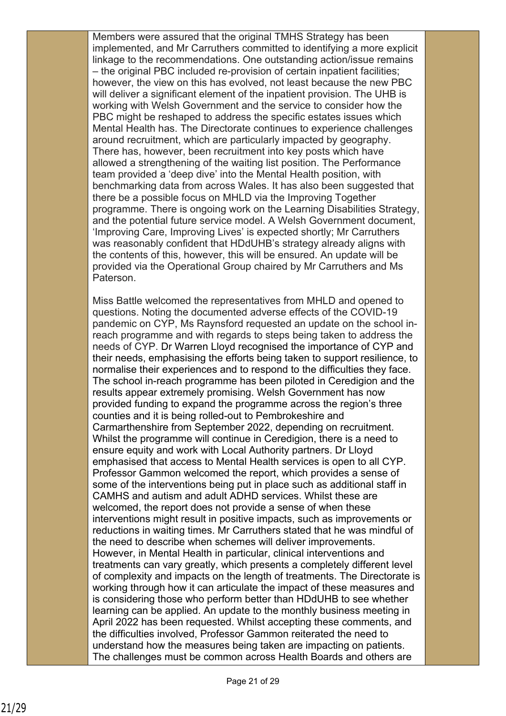Members were assured that the original TMHS Strategy has been implemented, and Mr Carruthers committed to identifying a more explicit linkage to the recommendations. One outstanding action/issue remains – the original PBC included re-provision of certain inpatient facilities; however, the view on this has evolved, not least because the new PBC will deliver a significant element of the inpatient provision. The UHB is working with Welsh Government and the service to consider how the PBC might be reshaped to address the specific estates issues which Mental Health has. The Directorate continues to experience challenges around recruitment, which are particularly impacted by geography. There has, however, been recruitment into key posts which have allowed a strengthening of the waiting list position. The Performance team provided a 'deep dive' into the Mental Health position, with benchmarking data from across Wales. It has also been suggested that there be a possible focus on MHLD via the Improving Together programme. There is ongoing work on the Learning Disabilities Strategy, and the potential future service model. A Welsh Government document, 'Improving Care, Improving Lives' is expected shortly; Mr Carruthers was reasonably confident that HDdUHB's strategy already aligns with the contents of this, however, this will be ensured. An update will be provided via the Operational Group chaired by Mr Carruthers and Ms Paterson.

Miss Battle welcomed the representatives from MHLD and opened to questions. Noting the documented adverse effects of the COVID-19 pandemic on CYP, Ms Raynsford requested an update on the school inreach programme and with regards to steps being taken to address the needs of CYP. Dr Warren Lloyd recognised the importance of CYP and their needs, emphasising the efforts being taken to support resilience, to normalise their experiences and to respond to the difficulties they face. The school in-reach programme has been piloted in Ceredigion and the results appear extremely promising. Welsh Government has now provided funding to expand the programme across the region's three counties and it is being rolled-out to Pembrokeshire and Carmarthenshire from September 2022, depending on recruitment. Whilst the programme will continue in Ceredigion, there is a need to ensure equity and work with Local Authority partners. Dr Lloyd emphasised that access to Mental Health services is open to all CYP. Professor Gammon welcomed the report, which provides a sense of some of the interventions being put in place such as additional staff in CAMHS and autism and adult ADHD services. Whilst these are welcomed, the report does not provide a sense of when these interventions might result in positive impacts, such as improvements or reductions in waiting times. Mr Carruthers stated that he was mindful of the need to describe when schemes will deliver improvements. However, in Mental Health in particular, clinical interventions and treatments can vary greatly, which presents a completely different level of complexity and impacts on the length of treatments. The Directorate is working through how it can articulate the impact of these measures and is considering those who perform better than HDdUHB to see whether learning can be applied. An update to the monthly business meeting in April 2022 has been requested. Whilst accepting these comments, and the difficulties involved, Professor Gammon reiterated the need to understand how the measures being taken are impacting on patients. The challenges must be common across Health Boards and others are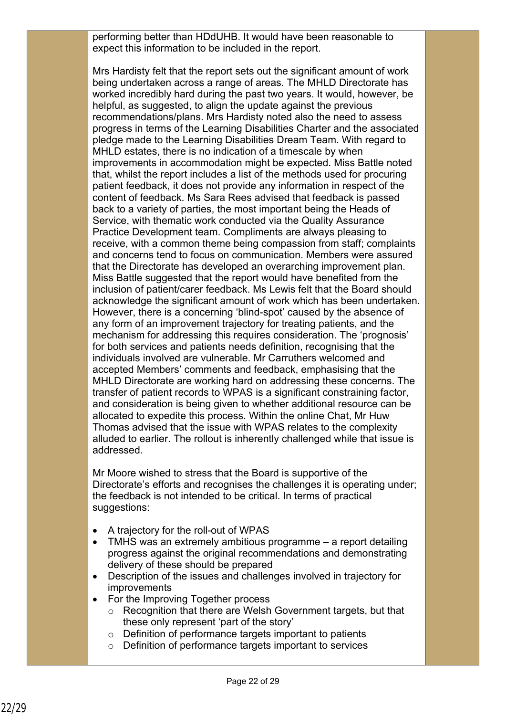performing better than HDdUHB. It would have been reasonable to expect this information to be included in the report.

Mrs Hardisty felt that the report sets out the significant amount of work being undertaken across a range of areas. The MHLD Directorate has worked incredibly hard during the past two years. It would, however, be helpful, as suggested, to align the update against the previous recommendations/plans. Mrs Hardisty noted also the need to assess progress in terms of the Learning Disabilities Charter and the associated pledge made to the Learning Disabilities Dream Team. With regard to MHLD estates, there is no indication of a timescale by when improvements in accommodation might be expected. Miss Battle noted that, whilst the report includes a list of the methods used for procuring patient feedback, it does not provide any information in respect of the content of feedback. Ms Sara Rees advised that feedback is passed back to a variety of parties, the most important being the Heads of Service, with thematic work conducted via the Quality Assurance Practice Development team. Compliments are always pleasing to receive, with a common theme being compassion from staff; complaints and concerns tend to focus on communication. Members were assured that the Directorate has developed an overarching improvement plan. Miss Battle suggested that the report would have benefited from the inclusion of patient/carer feedback. Ms Lewis felt that the Board should acknowledge the significant amount of work which has been undertaken. However, there is a concerning 'blind-spot' caused by the absence of any form of an improvement trajectory for treating patients, and the mechanism for addressing this requires consideration. The 'prognosis' for both services and patients needs definition, recognising that the individuals involved are vulnerable. Mr Carruthers welcomed and accepted Members' comments and feedback, emphasising that the MHLD Directorate are working hard on addressing these concerns. The transfer of patient records to WPAS is a significant constraining factor, and consideration is being given to whether additional resource can be allocated to expedite this process. Within the online Chat, Mr Huw Thomas advised that the issue with WPAS relates to the complexity alluded to earlier. The rollout is inherently challenged while that issue is addressed.

Mr Moore wished to stress that the Board is supportive of the Directorate's efforts and recognises the challenges it is operating under; the feedback is not intended to be critical. In terms of practical suggestions:

- A trajectory for the roll-out of WPAS
- TMHS was an extremely ambitious programme a report detailing progress against the original recommendations and demonstrating delivery of these should be prepared
- Description of the issues and challenges involved in trajectory for improvements
- For the Improving Together process
	- o Recognition that there are Welsh Government targets, but that these only represent 'part of the story'
	- o Definition of performance targets important to patients
	- o Definition of performance targets important to services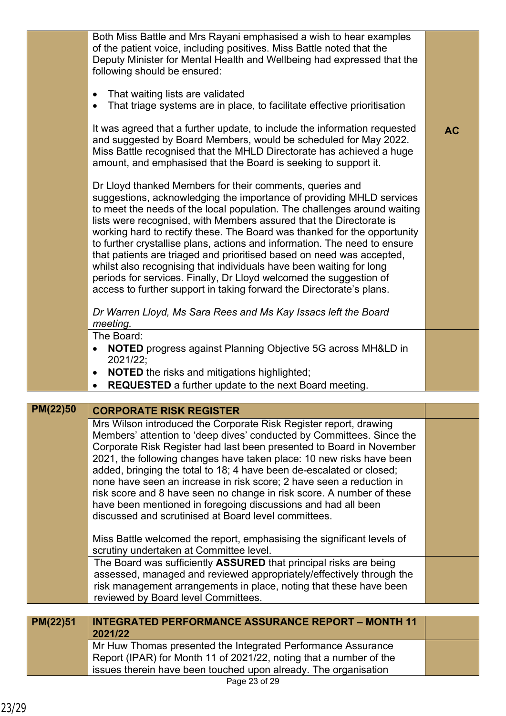|          | Both Miss Battle and Mrs Rayani emphasised a wish to hear examples<br>of the patient voice, including positives. Miss Battle noted that the<br>Deputy Minister for Mental Health and Wellbeing had expressed that the<br>following should be ensured:                                                                                                                                                                                                                                                                                                                                                                                                                                                                                      |           |
|----------|--------------------------------------------------------------------------------------------------------------------------------------------------------------------------------------------------------------------------------------------------------------------------------------------------------------------------------------------------------------------------------------------------------------------------------------------------------------------------------------------------------------------------------------------------------------------------------------------------------------------------------------------------------------------------------------------------------------------------------------------|-----------|
|          | That waiting lists are validated<br>$\bullet$<br>That triage systems are in place, to facilitate effective prioritisation                                                                                                                                                                                                                                                                                                                                                                                                                                                                                                                                                                                                                  |           |
|          | It was agreed that a further update, to include the information requested<br>and suggested by Board Members, would be scheduled for May 2022.<br>Miss Battle recognised that the MHLD Directorate has achieved a huge<br>amount, and emphasised that the Board is seeking to support it.                                                                                                                                                                                                                                                                                                                                                                                                                                                   | <b>AC</b> |
|          | Dr Lloyd thanked Members for their comments, queries and<br>suggestions, acknowledging the importance of providing MHLD services<br>to meet the needs of the local population. The challenges around waiting<br>lists were recognised, with Members assured that the Directorate is<br>working hard to rectify these. The Board was thanked for the opportunity<br>to further crystallise plans, actions and information. The need to ensure<br>that patients are triaged and prioritised based on need was accepted,<br>whilst also recognising that individuals have been waiting for long<br>periods for services. Finally, Dr Lloyd welcomed the suggestion of<br>access to further support in taking forward the Directorate's plans. |           |
|          | Dr Warren Lloyd, Ms Sara Rees and Ms Kay Issacs left the Board<br>meeting.                                                                                                                                                                                                                                                                                                                                                                                                                                                                                                                                                                                                                                                                 |           |
|          | The Board:<br><b>NOTED</b> progress against Planning Objective 5G across MH&LD in<br>$\bullet$<br>2021/22;                                                                                                                                                                                                                                                                                                                                                                                                                                                                                                                                                                                                                                 |           |
|          | <b>NOTED</b> the risks and mitigations highlighted;<br>$\bullet$<br><b>REQUESTED</b> a further update to the next Board meeting.                                                                                                                                                                                                                                                                                                                                                                                                                                                                                                                                                                                                           |           |
|          |                                                                                                                                                                                                                                                                                                                                                                                                                                                                                                                                                                                                                                                                                                                                            |           |
| PM(22)50 | <b>CORPORATE RISK REGISTER</b>                                                                                                                                                                                                                                                                                                                                                                                                                                                                                                                                                                                                                                                                                                             |           |
|          | Mrs Wilson introduced the Corporate Risk Register report, drawing<br>Members' attention to 'deep dives' conducted by Committees. Since the                                                                                                                                                                                                                                                                                                                                                                                                                                                                                                                                                                                                 |           |

Corporate Risk Register had last been presented to Board in November 2021, the following changes have taken place: 10 new risks have been added, bringing the total to 18; 4 have been de-escalated or closed; none have seen an increase in risk score; 2 have seen a reduction in risk score and 8 have seen no change in risk score. A number of these

have been mentioned in foregoing discussions and had all been

Miss Battle welcomed the report, emphasising the significant levels of

The Board was sufficiently **ASSURED** that principal risks are being assessed, managed and reviewed appropriately/effectively through the risk management arrangements in place, noting that these have been

discussed and scrutinised at Board level committees.

scrutiny undertaken at Committee level.

reviewed by Board level Committees.

**2021/22**

**INTEGRATED PERFORMANCE ASSURANCE REPORT – MONTH 11** 

Mr Huw Thomas presented the Integrated Performance Assurance Report (IPAR) for Month 11 of 2021/22, noting that a number of the issues therein have been touched upon already. The organisation

**PM(22)51**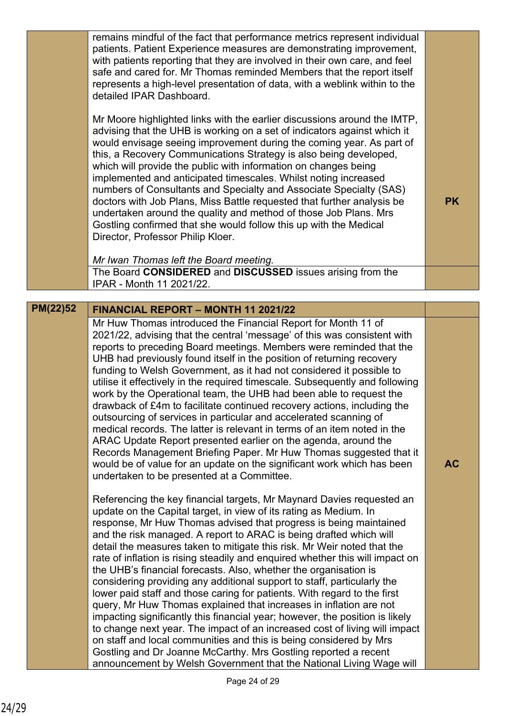|                 | remains mindful of the fact that performance metrics represent individual<br>patients. Patient Experience measures are demonstrating improvement,<br>with patients reporting that they are involved in their own care, and feel<br>safe and cared for. Mr Thomas reminded Members that the report itself<br>represents a high-level presentation of data, with a weblink within to the<br>detailed IPAR Dashboard.                                                                                                                                                                                                                                                                                                                                                                                                                                                                                                                                                                                                                                                                                                               |           |
|-----------------|----------------------------------------------------------------------------------------------------------------------------------------------------------------------------------------------------------------------------------------------------------------------------------------------------------------------------------------------------------------------------------------------------------------------------------------------------------------------------------------------------------------------------------------------------------------------------------------------------------------------------------------------------------------------------------------------------------------------------------------------------------------------------------------------------------------------------------------------------------------------------------------------------------------------------------------------------------------------------------------------------------------------------------------------------------------------------------------------------------------------------------|-----------|
|                 | Mr Moore highlighted links with the earlier discussions around the IMTP,<br>advising that the UHB is working on a set of indicators against which it<br>would envisage seeing improvement during the coming year. As part of<br>this, a Recovery Communications Strategy is also being developed,<br>which will provide the public with information on changes being<br>implemented and anticipated timescales. Whilst noting increased<br>numbers of Consultants and Specialty and Associate Specialty (SAS)<br>doctors with Job Plans, Miss Battle requested that further analysis be<br>undertaken around the quality and method of those Job Plans. Mrs<br>Gostling confirmed that she would follow this up with the Medical<br>Director, Professor Philip Kloer.                                                                                                                                                                                                                                                                                                                                                            | <b>PK</b> |
|                 | Mr Iwan Thomas left the Board meeting.                                                                                                                                                                                                                                                                                                                                                                                                                                                                                                                                                                                                                                                                                                                                                                                                                                                                                                                                                                                                                                                                                           |           |
|                 | The Board CONSIDERED and DISCUSSED issues arising from the<br>IPAR - Month 11 2021/22.                                                                                                                                                                                                                                                                                                                                                                                                                                                                                                                                                                                                                                                                                                                                                                                                                                                                                                                                                                                                                                           |           |
|                 |                                                                                                                                                                                                                                                                                                                                                                                                                                                                                                                                                                                                                                                                                                                                                                                                                                                                                                                                                                                                                                                                                                                                  |           |
| <b>PM(22)52</b> | <b>FINANCIAL REPORT - MONTH 11 2021/22</b>                                                                                                                                                                                                                                                                                                                                                                                                                                                                                                                                                                                                                                                                                                                                                                                                                                                                                                                                                                                                                                                                                       |           |
|                 | Mr Huw Thomas introduced the Financial Report for Month 11 of<br>2021/22, advising that the central 'message' of this was consistent with<br>reports to preceding Board meetings. Members were reminded that the<br>UHB had previously found itself in the position of returning recovery<br>funding to Welsh Government, as it had not considered it possible to<br>utilise it effectively in the required timescale. Subsequently and following<br>work by the Operational team, the UHB had been able to request the<br>drawback of £4m to facilitate continued recovery actions, including the<br>outsourcing of services in particular and accelerated scanning of<br>medical records. The latter is relevant in terms of an item noted in the<br>ARAC Update Report presented earlier on the agenda, around the<br>Records Management Briefing Paper. Mr Huw Thomas suggested that it<br>would be of value for an update on the significant work which has been<br>undertaken to be presented at a Committee.                                                                                                              | <b>AC</b> |
|                 | Referencing the key financial targets, Mr Maynard Davies requested an<br>update on the Capital target, in view of its rating as Medium. In<br>response, Mr Huw Thomas advised that progress is being maintained<br>and the risk managed. A report to ARAC is being drafted which will<br>detail the measures taken to mitigate this risk. Mr Weir noted that the<br>rate of inflation is rising steadily and enquired whether this will impact on<br>the UHB's financial forecasts. Also, whether the organisation is<br>considering providing any additional support to staff, particularly the<br>lower paid staff and those caring for patients. With regard to the first<br>query, Mr Huw Thomas explained that increases in inflation are not<br>impacting significantly this financial year; however, the position is likely<br>to change next year. The impact of an increased cost of living will impact<br>on staff and local communities and this is being considered by Mrs<br>Gostling and Dr Joanne McCarthy. Mrs Gostling reported a recent<br>announcement by Welsh Government that the National Living Wage will |           |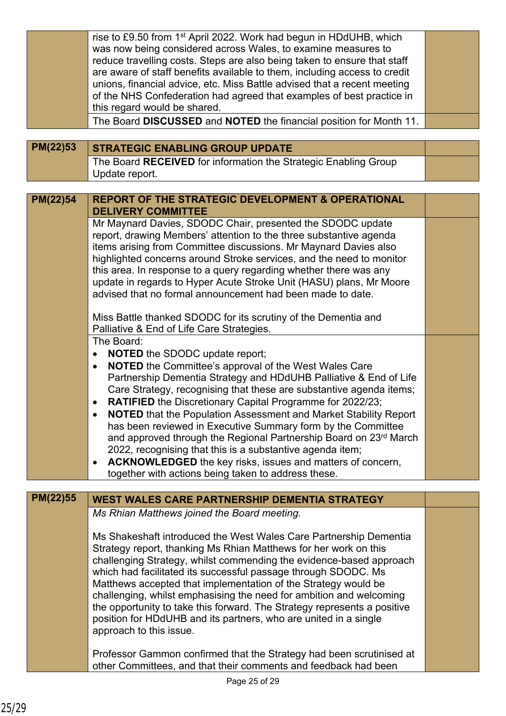|          | rise to £9.50 from 1 <sup>st</sup> April 2022. Work had begun in HDdUHB, which<br>was now being considered across Wales, to examine measures to |  |
|----------|-------------------------------------------------------------------------------------------------------------------------------------------------|--|
|          | reduce travelling costs. Steps are also being taken to ensure that staff                                                                        |  |
|          | are aware of staff benefits available to them, including access to credit                                                                       |  |
|          | unions, financial advice, etc. Miss Battle advised that a recent meeting                                                                        |  |
|          | of the NHS Confederation had agreed that examples of best practice in                                                                           |  |
|          | this regard would be shared.                                                                                                                    |  |
|          | The Board DISCUSSED and NOTED the financial position for Month 11.                                                                              |  |
| PM(22)53 | <b>STRATEGIC ENABLING GROUP UPDATE</b>                                                                                                          |  |
|          | The Board RECEIVED for information the Strategic Enabling Group                                                                                 |  |
|          | Update report.                                                                                                                                  |  |
|          | <b>REPORT OF THE STRATEGIC DEVELOPMENT &amp; OPERATIONAL</b>                                                                                    |  |
| PM(22)54 | <b>DELIVERY COMMITTEE</b>                                                                                                                       |  |
|          | Mr Maynard Davies, SDODC Chair, presented the SDODC update                                                                                      |  |
|          | report, drawing Members' attention to the three substantive agenda                                                                              |  |
|          | items arising from Committee discussions. Mr Maynard Davies also<br>highlighted concerns around Stroke services, and the need to monitor        |  |
|          | this area. In response to a query regarding whether there was any                                                                               |  |
|          | update in regards to Hyper Acute Stroke Unit (HASU) plans, Mr Moore                                                                             |  |
|          | advised that no formal announcement had been made to date.                                                                                      |  |
|          |                                                                                                                                                 |  |
|          | Miss Battle thanked SDODC for its scrutiny of the Dementia and                                                                                  |  |
|          | Palliative & End of Life Care Strategies.<br>The Board:                                                                                         |  |
|          | <b>NOTED</b> the SDODC update report;<br>$\bullet$                                                                                              |  |
|          | <b>NOTED</b> the Committee's approval of the West Wales Care<br>$\bullet$                                                                       |  |
|          | Partnership Dementia Strategy and HDdUHB Palliative & End of Life                                                                               |  |
|          | Care Strategy, recognising that these are substantive agenda items;                                                                             |  |
|          | <b>RATIFIED</b> the Discretionary Capital Programme for 2022/23;<br>$\bullet$                                                                   |  |
|          | NOTED that the Population Assessment and Market Stability Report                                                                                |  |
|          | has been reviewed in Executive Summary form by the Committee<br>and approved through the Regional Partnership Board on 23rd March               |  |
|          | 2022, recognising that this is a substantive agenda item;                                                                                       |  |
|          | ACKNOWLEDGED the key risks, issues and matters of concern,<br>$\bullet$                                                                         |  |
|          | together with actions being taken to address these.                                                                                             |  |
|          |                                                                                                                                                 |  |
| PM(22)55 | <b>WEST WALES CARE PARTNERSHIP DEMENTIA STRATEGY</b>                                                                                            |  |
|          | Ms Rhian Matthews joined the Board meeting.                                                                                                     |  |
|          | Ms Shakeshaft introduced the West Wales Care Partnership Dementia                                                                               |  |
|          | Strategy report, thanking Ms Rhian Matthews for her work on this                                                                                |  |
|          | challenging Strategy, whilst commending the evidence-based approach                                                                             |  |
|          | which had facilitated its successful passage through SDODC. Ms                                                                                  |  |
|          | Matthews accepted that implementation of the Strategy would be                                                                                  |  |
|          | challenging, whilst emphasising the need for ambition and welcoming<br>the opportunity to take this forward. The Strategy represents a positive |  |
|          | position for HDdUHB and its partners, who are united in a single                                                                                |  |
|          | approach to this issue.                                                                                                                         |  |
|          |                                                                                                                                                 |  |
|          | Professor Gammon confirmed that the Strategy had been scrutinised at                                                                            |  |
|          | other Committees, and that their comments and feedback had been                                                                                 |  |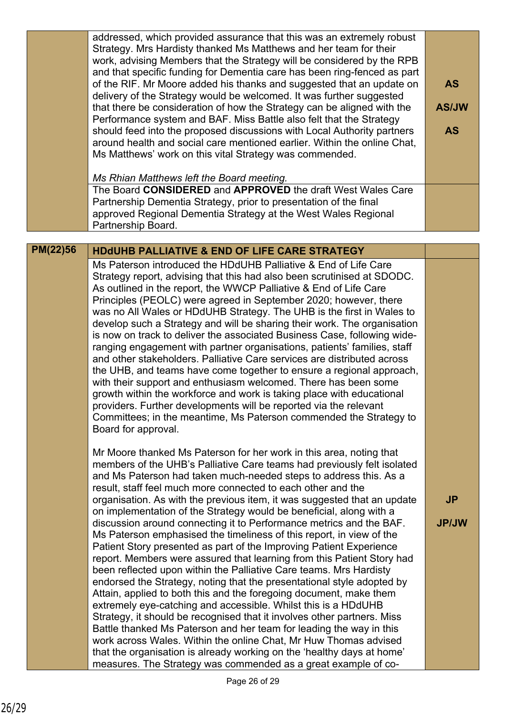|          | addressed, which provided assurance that this was an extremely robust<br>Strategy. Mrs Hardisty thanked Ms Matthews and her team for their<br>work, advising Members that the Strategy will be considered by the RPB<br>and that specific funding for Dementia care has been ring-fenced as part<br>of the RIF. Mr Moore added his thanks and suggested that an update on<br>delivery of the Strategy would be welcomed. It was further suggested<br>that there be consideration of how the Strategy can be aligned with the<br>Performance system and BAF. Miss Battle also felt that the Strategy<br>should feed into the proposed discussions with Local Authority partners<br>around health and social care mentioned earlier. Within the online Chat,<br>Ms Matthews' work on this vital Strategy was commended.                                                                                                                                                                                                                                                                                                                                                                                                                                                                                                                                                                            | <b>AS</b><br><b>AS/JW</b><br><b>AS</b> |
|----------|--------------------------------------------------------------------------------------------------------------------------------------------------------------------------------------------------------------------------------------------------------------------------------------------------------------------------------------------------------------------------------------------------------------------------------------------------------------------------------------------------------------------------------------------------------------------------------------------------------------------------------------------------------------------------------------------------------------------------------------------------------------------------------------------------------------------------------------------------------------------------------------------------------------------------------------------------------------------------------------------------------------------------------------------------------------------------------------------------------------------------------------------------------------------------------------------------------------------------------------------------------------------------------------------------------------------------------------------------------------------------------------------------|----------------------------------------|
|          | Ms Rhian Matthews left the Board meeting.<br>The Board CONSIDERED and APPROVED the draft West Wales Care<br>Partnership Dementia Strategy, prior to presentation of the final<br>approved Regional Dementia Strategy at the West Wales Regional<br>Partnership Board.                                                                                                                                                                                                                                                                                                                                                                                                                                                                                                                                                                                                                                                                                                                                                                                                                                                                                                                                                                                                                                                                                                                            |                                        |
| PM(22)56 | <b>HDdUHB PALLIATIVE &amp; END OF LIFE CARE STRATEGY</b>                                                                                                                                                                                                                                                                                                                                                                                                                                                                                                                                                                                                                                                                                                                                                                                                                                                                                                                                                                                                                                                                                                                                                                                                                                                                                                                                         |                                        |
|          | Ms Paterson introduced the HDdUHB Palliative & End of Life Care<br>Strategy report, advising that this had also been scrutinised at SDODC.<br>As outlined in the report, the WWCP Palliative & End of Life Care<br>Principles (PEOLC) were agreed in September 2020; however, there<br>was no All Wales or HDdUHB Strategy. The UHB is the first in Wales to<br>develop such a Strategy and will be sharing their work. The organisation<br>is now on track to deliver the associated Business Case, following wide-<br>ranging engagement with partner organisations, patients' families, staff<br>and other stakeholders. Palliative Care services are distributed across<br>the UHB, and teams have come together to ensure a regional approach,<br>with their support and enthusiasm welcomed. There has been some<br>growth within the workforce and work is taking place with educational<br>providers. Further developments will be reported via the relevant<br>Committees; in the meantime, Ms Paterson commended the Strategy to<br>Board for approval.                                                                                                                                                                                                                                                                                                                                |                                        |
|          | Mr Moore thanked Ms Paterson for her work in this area, noting that<br>members of the UHB's Palliative Care teams had previously felt isolated<br>and Ms Paterson had taken much-needed steps to address this. As a<br>result, staff feel much more connected to each other and the<br>organisation. As with the previous item, it was suggested that an update<br>on implementation of the Strategy would be beneficial, along with a<br>discussion around connecting it to Performance metrics and the BAF.<br>Ms Paterson emphasised the timeliness of this report, in view of the<br>Patient Story presented as part of the Improving Patient Experience<br>report. Members were assured that learning from this Patient Story had<br>been reflected upon within the Palliative Care teams. Mrs Hardisty<br>endorsed the Strategy, noting that the presentational style adopted by<br>Attain, applied to both this and the foregoing document, make them<br>extremely eye-catching and accessible. Whilst this is a HDdUHB<br>Strategy, it should be recognised that it involves other partners. Miss<br>Battle thanked Ms Paterson and her team for leading the way in this<br>work across Wales. Within the online Chat, Mr Huw Thomas advised<br>that the organisation is already working on the 'healthy days at home'<br>measures. The Strategy was commended as a great example of co- | <b>JP</b><br><b>JP/JW</b>              |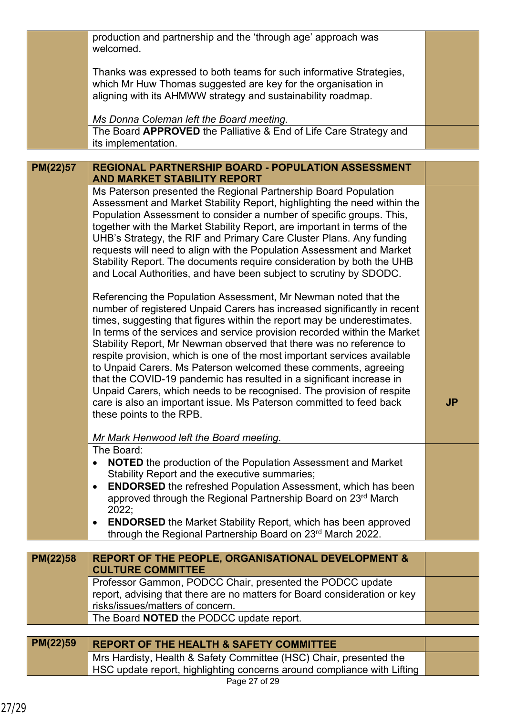|                 | production and partnership and the 'through age' approach was<br>welcomed.                                                                   |           |
|-----------------|----------------------------------------------------------------------------------------------------------------------------------------------|-----------|
|                 |                                                                                                                                              |           |
|                 | Thanks was expressed to both teams for such informative Strategies,                                                                          |           |
|                 | which Mr Huw Thomas suggested are key for the organisation in                                                                                |           |
|                 | aligning with its AHMWW strategy and sustainability roadmap.                                                                                 |           |
|                 | Ms Donna Coleman left the Board meeting.                                                                                                     |           |
|                 | The Board APPROVED the Palliative & End of Life Care Strategy and                                                                            |           |
|                 | its implementation.                                                                                                                          |           |
|                 |                                                                                                                                              |           |
| PM(22)57        | REGIONAL PARTNERSHIP BOARD - POPULATION ASSESSMENT                                                                                           |           |
|                 | <b>AND MARKET STABILITY REPORT</b>                                                                                                           |           |
|                 | Ms Paterson presented the Regional Partnership Board Population                                                                              |           |
|                 | Assessment and Market Stability Report, highlighting the need within the                                                                     |           |
|                 | Population Assessment to consider a number of specific groups. This,                                                                         |           |
|                 | together with the Market Stability Report, are important in terms of the                                                                     |           |
|                 | UHB's Strategy, the RIF and Primary Care Cluster Plans. Any funding<br>requests will need to align with the Population Assessment and Market |           |
|                 | Stability Report. The documents require consideration by both the UHB                                                                        |           |
|                 | and Local Authorities, and have been subject to scrutiny by SDODC.                                                                           |           |
|                 |                                                                                                                                              |           |
|                 | Referencing the Population Assessment, Mr Newman noted that the                                                                              |           |
|                 | number of registered Unpaid Carers has increased significantly in recent                                                                     |           |
|                 | times, suggesting that figures within the report may be underestimates.                                                                      |           |
|                 | In terms of the services and service provision recorded within the Market                                                                    |           |
|                 | Stability Report, Mr Newman observed that there was no reference to                                                                          |           |
|                 | respite provision, which is one of the most important services available                                                                     |           |
|                 | to Unpaid Carers. Ms Paterson welcomed these comments, agreeing                                                                              |           |
|                 | that the COVID-19 pandemic has resulted in a significant increase in                                                                         |           |
|                 | Unpaid Carers, which needs to be recognised. The provision of respite                                                                        |           |
|                 | care is also an important issue. Ms Paterson committed to feed back                                                                          | <b>JP</b> |
|                 | these points to the RPB.                                                                                                                     |           |
|                 | Mr Mark Henwood left the Board meeting.                                                                                                      |           |
|                 | The Board:                                                                                                                                   |           |
|                 | <b>NOTED</b> the production of the Population Assessment and Market<br>$\bullet$                                                             |           |
|                 | Stability Report and the executive summaries;                                                                                                |           |
|                 | <b>ENDORSED</b> the refreshed Population Assessment, which has been<br>$\bullet$                                                             |           |
|                 | approved through the Regional Partnership Board on 23rd March                                                                                |           |
|                 | 2022;                                                                                                                                        |           |
|                 | <b>ENDORSED</b> the Market Stability Report, which has been approved<br>$\bullet$                                                            |           |
|                 | through the Regional Partnership Board on 23rd March 2022.                                                                                   |           |
| <b>PM(22)58</b> | <b>REPORT OF THE PEOPLE, ORGANISATIONAL DEVELOPMENT &amp;</b>                                                                                |           |
|                 | <b>CULTURE COMMITTEE</b>                                                                                                                     |           |
|                 | Professor Gammon, PODCC Chair, presented the PODCC update                                                                                    |           |
|                 | report, advising that there are no matters for Board consideration or key                                                                    |           |
|                 | risks/issues/matters of concern.                                                                                                             |           |
|                 | The Board NOTED the PODCC update report.                                                                                                     |           |
|                 |                                                                                                                                              |           |
| PM(22)59        | <b>REPORT OF THE HEALTH &amp; SAFETY COMMITTEE</b>                                                                                           |           |
|                 | Mrs Hardisty, Health & Safety Committee (HSC) Chair, presented the                                                                           |           |
|                 | HSC update report, highlighting concerns around compliance with Lifting                                                                      |           |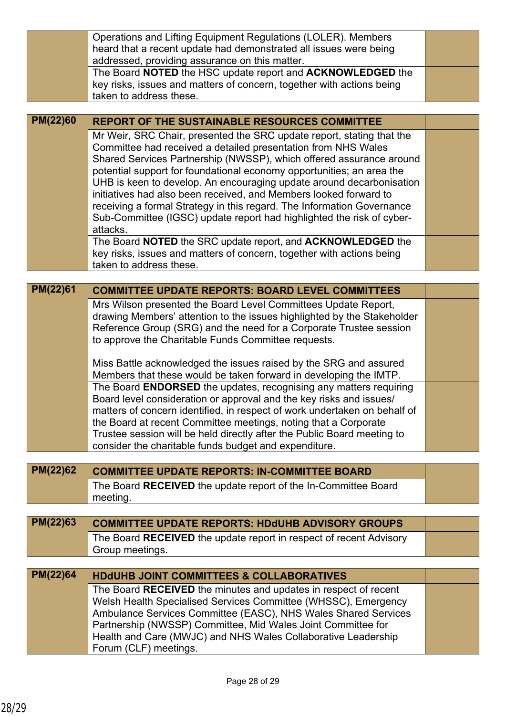|                 | Operations and Lifting Equipment Regulations (LOLER). Members                                                                              |  |
|-----------------|--------------------------------------------------------------------------------------------------------------------------------------------|--|
|                 | heard that a recent update had demonstrated all issues were being                                                                          |  |
|                 | addressed, providing assurance on this matter.                                                                                             |  |
|                 | The Board NOTED the HSC update report and ACKNOWLEDGED the                                                                                 |  |
|                 | key risks, issues and matters of concern, together with actions being                                                                      |  |
|                 | taken to address these.                                                                                                                    |  |
| <b>PM(22)60</b> |                                                                                                                                            |  |
|                 | <b>REPORT OF THE SUSTAINABLE RESOURCES COMMITTEE</b>                                                                                       |  |
|                 | Mr Weir, SRC Chair, presented the SRC update report, stating that the                                                                      |  |
|                 | Committee had received a detailed presentation from NHS Wales<br>Shared Services Partnership (NWSSP), which offered assurance around       |  |
|                 | potential support for foundational economy opportunities; an area the                                                                      |  |
|                 | UHB is keen to develop. An encouraging update around decarbonisation                                                                       |  |
|                 | initiatives had also been received, and Members looked forward to                                                                          |  |
|                 | receiving a formal Strategy in this regard. The Information Governance                                                                     |  |
|                 | Sub-Committee (IGSC) update report had highlighted the risk of cyber-                                                                      |  |
|                 | attacks.                                                                                                                                   |  |
|                 | The Board NOTED the SRC update report, and ACKNOWLEDGED the                                                                                |  |
|                 | key risks, issues and matters of concern, together with actions being                                                                      |  |
|                 | taken to address these.                                                                                                                    |  |
| PM(22)61        |                                                                                                                                            |  |
|                 | <b>COMMITTEE UPDATE REPORTS: BOARD LEVEL COMMITTEES</b>                                                                                    |  |
|                 | Mrs Wilson presented the Board Level Committees Update Report,<br>drawing Members' attention to the issues highlighted by the Stakeholder  |  |
|                 | Reference Group (SRG) and the need for a Corporate Trustee session                                                                         |  |
|                 | to approve the Charitable Funds Committee requests.                                                                                        |  |
|                 |                                                                                                                                            |  |
|                 | Miss Battle acknowledged the issues raised by the SRG and assured                                                                          |  |
|                 | Members that these would be taken forward in developing the IMTP.                                                                          |  |
|                 | The Board ENDORSED the updates, recognising any matters requiring                                                                          |  |
|                 | Board level consideration or approval and the key risks and issues/                                                                        |  |
|                 | matters of concern identified, in respect of work undertaken on behalf of                                                                  |  |
|                 | the Board at recent Committee meetings, noting that a Corporate<br>Trustee session will be held directly after the Public Board meeting to |  |
|                 |                                                                                                                                            |  |
|                 |                                                                                                                                            |  |
|                 | consider the charitable funds budget and expenditure.                                                                                      |  |
|                 |                                                                                                                                            |  |
| PM(22)62        | <b>COMMITTEE UPDATE REPORTS: IN-COMMITTEE BOARD</b>                                                                                        |  |
|                 | The Board RECEIVED the update report of the In-Committee Board                                                                             |  |
|                 | meeting.                                                                                                                                   |  |
|                 |                                                                                                                                            |  |
| PM(22)63        | <b>COMMITTEE UPDATE REPORTS: HDdUHB ADVISORY GROUPS</b>                                                                                    |  |
|                 | The Board RECEIVED the update report in respect of recent Advisory                                                                         |  |
|                 | Group meetings.                                                                                                                            |  |
| <b>PM(22)64</b> | <b>HDdUHB JOINT COMMITTEES &amp; COLLABORATIVES</b>                                                                                        |  |
|                 |                                                                                                                                            |  |
|                 | The Board RECEIVED the minutes and updates in respect of recent<br>Welsh Health Specialised Services Committee (WHSSC), Emergency          |  |
|                 | Ambulance Services Committee (EASC), NHS Wales Shared Services                                                                             |  |
|                 | Partnership (NWSSP) Committee, Mid Wales Joint Committee for                                                                               |  |
|                 | Health and Care (MWJC) and NHS Wales Collaborative Leadership                                                                              |  |
|                 | Forum (CLF) meetings.                                                                                                                      |  |